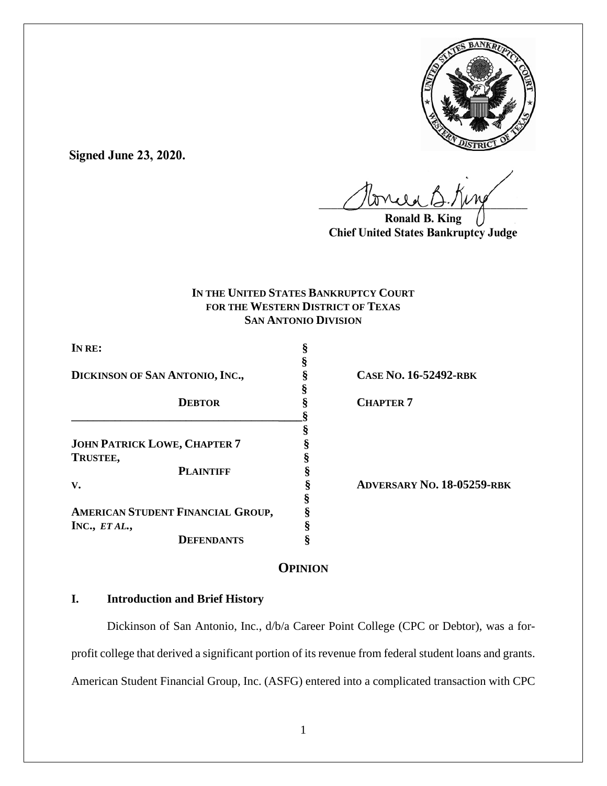

**Signed June 23, 2020.**

 $U^{WVQQ}$ 

**Ronald B. King Chief United States Bankruptcy Judge**

# **IN THE UNITED STATES BANKRUPTCY COURT FOR THE WESTERN DISTRICT OF TEXAS SAN ANTONIO DIVISION**

| IN RE:                                 | §      |
|----------------------------------------|--------|
|                                        | §      |
| <b>DICKINSON OF SAN ANTONIO, INC.,</b> |        |
|                                        | §<br>§ |
| <b>DEBTOR</b>                          | §      |
|                                        | 8      |
|                                        | §      |
| <b>JOHN PATRICK LOWE, CHAPTER 7</b>    |        |
| TRUSTEE,                               | §<br>§ |
| <b>PLAINTIFF</b>                       | §      |
| v.                                     | §      |
|                                        | §      |
| AMERICAN STUDENT FINANCIAL GROUP,      | §      |
| INC., ETAL.,                           | §      |
| <b>DEFENDANTS</b>                      | 8      |

**DICKINSON OF SAN ANTONIO, INC., § CASE NO. 16-52492-RBK**

**CHAPTER 7** 

**V. § ADVERSARY NO. 18-05259-RBK**

# **OPINION**

# **I. Introduction and Brief History**

Dickinson of San Antonio, Inc., d/b/a Career Point College (CPC or Debtor), was a forprofit college that derived a significant portion of its revenue from federal student loans and grants. American Student Financial Group, Inc. (ASFG) entered into a complicated transaction with CPC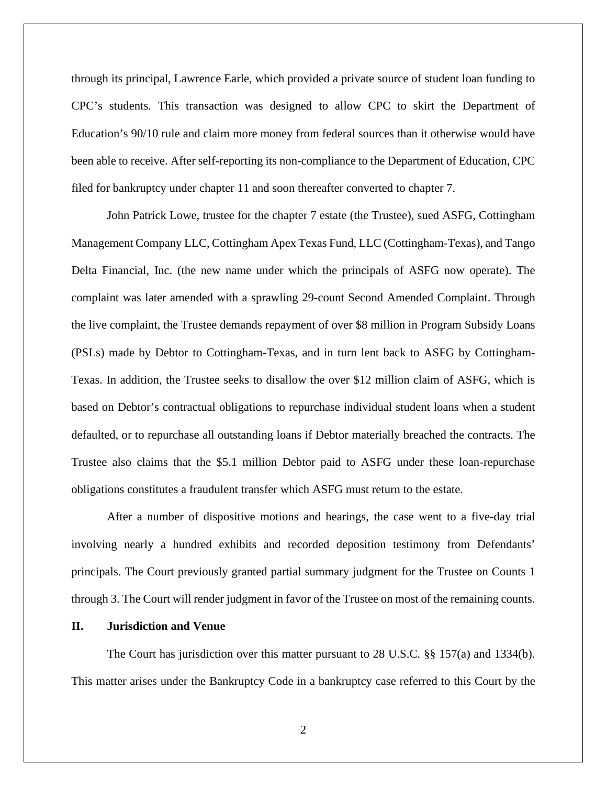through its principal, Lawrence Earle, which provided a private source of student loan funding to CPC's students. This transaction was designed to allow CPC to skirt the Department of Education's 90/10 rule and claim more money from federal sources than it otherwise would have been able to receive. After self-reporting its non-compliance to the Department of Education, CPC filed for bankruptcy under chapter 11 and soon thereafter converted to chapter 7.

John Patrick Lowe, trustee for the chapter 7 estate (the Trustee), sued ASFG, Cottingham Management Company LLC, Cottingham Apex Texas Fund, LLC (Cottingham-Texas), and Tango Delta Financial, Inc. (the new name under which the principals of ASFG now operate). The complaint was later amended with a sprawling 29-count Second Amended Complaint. Through the live complaint, the Trustee demands repayment of over \$8 million in Program Subsidy Loans (PSLs) made by Debtor to Cottingham-Texas, and in turn lent back to ASFG by Cottingham-Texas. In addition, the Trustee seeks to disallow the over \$12 million claim of ASFG, which is based on Debtor's contractual obligations to repurchase individual student loans when a student defaulted, or to repurchase all outstanding loans if Debtor materially breached the contracts. The Trustee also claims that the \$5.1 million Debtor paid to ASFG under these loan-repurchase obligations constitutes a fraudulent transfer which ASFG must return to the estate.

After a number of dispositive motions and hearings, the case went to a five-day trial involving nearly a hundred exhibits and recorded deposition testimony from Defendants' principals. The Court previously granted partial summary judgment for the Trustee on Counts 1 through 3. The Court will render judgment in favor of the Trustee on most of the remaining counts.

## **II. Jurisdiction and Venue**

The Court has jurisdiction over this matter pursuant to 28 U.S.C. §§ 157(a) and 1334(b). This matter arises under the Bankruptcy Code in a bankruptcy case referred to this Court by the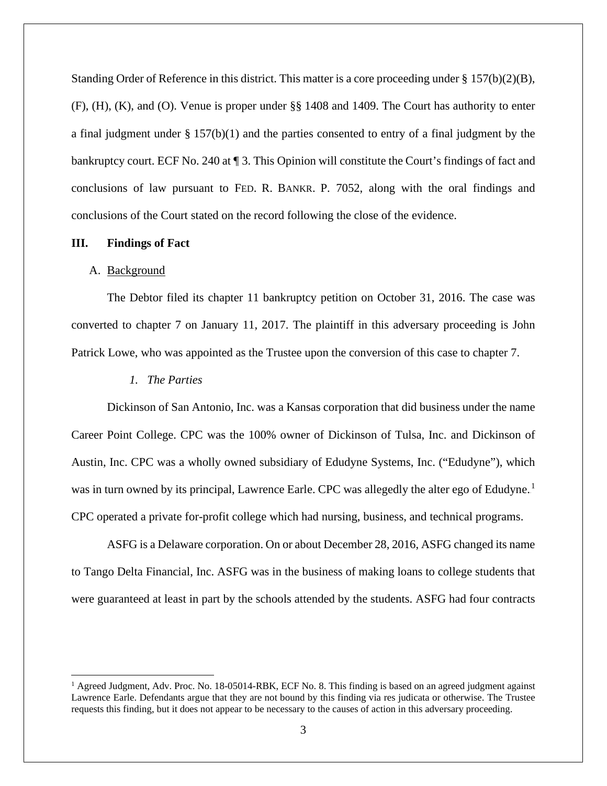Standing Order of Reference in this district. This matter is a core proceeding under  $\S 157(b)(2)(B)$ , (F), (H), (K), and (O). Venue is proper under §§ 1408 and 1409. The Court has authority to enter a final judgment under  $\S 157(b)(1)$  and the parties consented to entry of a final judgment by the bankruptcy court. ECF No. 240 at ¶ 3. This Opinion will constitute the Court's findings of fact and conclusions of law pursuant to FED. R. BANKR. P. 7052, along with the oral findings and conclusions of the Court stated on the record following the close of the evidence.

### **III. Findings of Fact**

### A. Background

The Debtor filed its chapter 11 bankruptcy petition on October 31, 2016. The case was converted to chapter 7 on January 11, 2017. The plaintiff in this adversary proceeding is John Patrick Lowe, who was appointed as the Trustee upon the conversion of this case to chapter 7.

### *1. The Parties*

Dickinson of San Antonio, Inc. was a Kansas corporation that did business under the name Career Point College. CPC was the 100% owner of Dickinson of Tulsa, Inc. and Dickinson of Austin, Inc. CPC was a wholly owned subsidiary of Edudyne Systems, Inc. ("Edudyne"), which was in turn owned by its principal, Lawrence Earle. CPC was allegedly the alter ego of Edudyne.<sup>1</sup> CPC operated a private for-profit college which had nursing, business, and technical programs.

ASFG is a Delaware corporation. On or about December 28, 2016, ASFG changed its name to Tango Delta Financial, Inc. ASFG was in the business of making loans to college students that were guaranteed at least in part by the schools attended by the students. ASFG had four contracts

<sup>&</sup>lt;sup>1</sup> Agreed Judgment, Adv. Proc. No. 18-05014-RBK, ECF No. 8. This finding is based on an agreed judgment against Lawrence Earle. Defendants argue that they are not bound by this finding via res judicata or otherwise. The Trustee requests this finding, but it does not appear to be necessary to the causes of action in this adversary proceeding.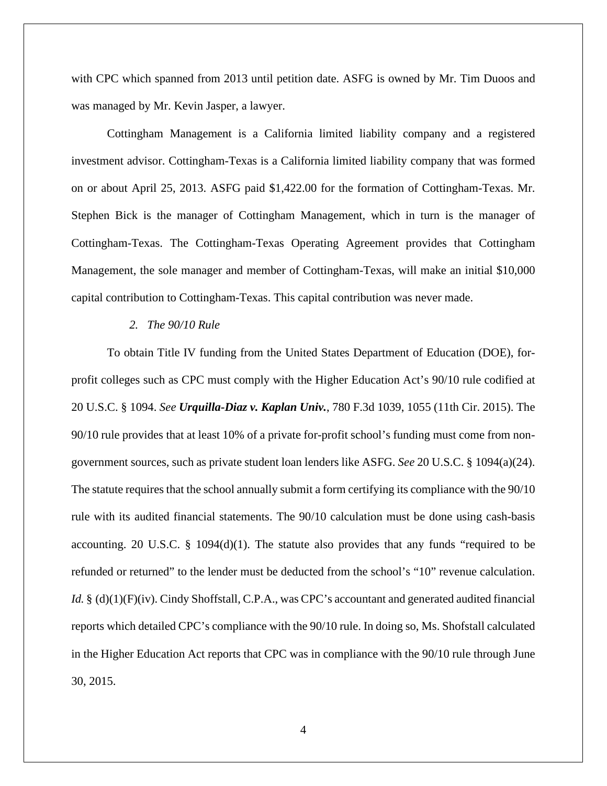with CPC which spanned from 2013 until petition date. ASFG is owned by Mr. Tim Duoos and was managed by Mr. Kevin Jasper, a lawyer.

Cottingham Management is a California limited liability company and a registered investment advisor. Cottingham-Texas is a California limited liability company that was formed on or about April 25, 2013. ASFG paid \$1,422.00 for the formation of Cottingham-Texas. Mr. Stephen Bick is the manager of Cottingham Management, which in turn is the manager of Cottingham-Texas. The Cottingham-Texas Operating Agreement provides that Cottingham Management, the sole manager and member of Cottingham-Texas, will make an initial \$10,000 capital contribution to Cottingham-Texas. This capital contribution was never made.

#### *2. The 90/10 Rule*

To obtain Title IV funding from the United States Department of Education (DOE), forprofit colleges such as CPC must comply with the Higher Education Act's 90/10 rule codified at 20 U.S.C. § 1094. *See Urquilla-Diaz v. Kaplan Univ.*, 780 F.3d 1039, 1055 (11th Cir. 2015). The 90/10 rule provides that at least 10% of a private for-profit school's funding must come from nongovernment sources, such as private student loan lenders like ASFG. *See* 20 U.S.C. § 1094(a)(24). The statute requires that the school annually submit a form certifying its compliance with the 90/10 rule with its audited financial statements. The 90/10 calculation must be done using cash-basis accounting. 20 U.S.C.  $\S$  1094(d)(1). The statute also provides that any funds "required to be refunded or returned" to the lender must be deducted from the school's "10" revenue calculation. *Id.* § (d)(1)(F)(iv). Cindy Shoffstall, C.P.A., was CPC's accountant and generated audited financial reports which detailed CPC's compliance with the 90/10 rule. In doing so, Ms. Shofstall calculated in the Higher Education Act reports that CPC was in compliance with the 90/10 rule through June 30, 2015.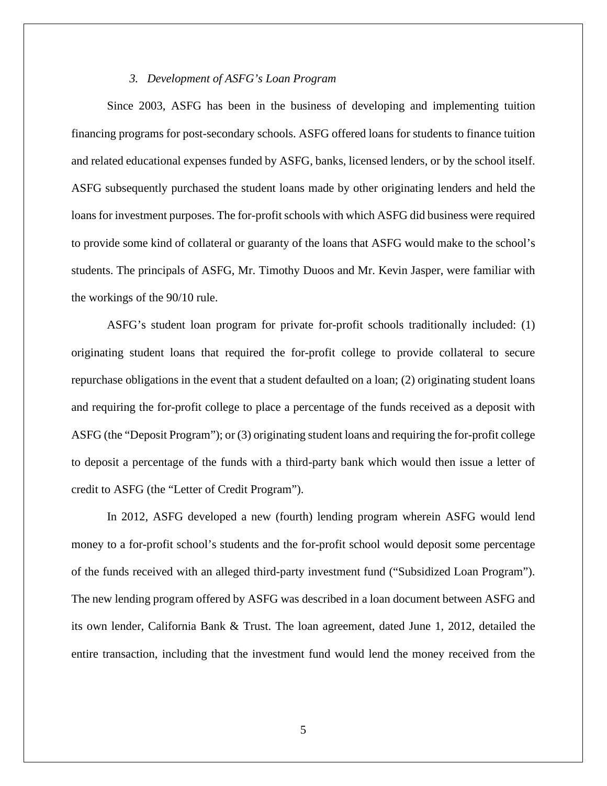### *3. Development of ASFG's Loan Program*

Since 2003, ASFG has been in the business of developing and implementing tuition financing programs for post-secondary schools. ASFG offered loans for students to finance tuition and related educational expenses funded by ASFG, banks, licensed lenders, or by the school itself. ASFG subsequently purchased the student loans made by other originating lenders and held the loans for investment purposes. The for-profit schools with which ASFG did business were required to provide some kind of collateral or guaranty of the loans that ASFG would make to the school's students. The principals of ASFG, Mr. Timothy Duoos and Mr. Kevin Jasper, were familiar with the workings of the 90/10 rule.

ASFG's student loan program for private for-profit schools traditionally included: (1) originating student loans that required the for-profit college to provide collateral to secure repurchase obligations in the event that a student defaulted on a loan; (2) originating student loans and requiring the for-profit college to place a percentage of the funds received as a deposit with ASFG (the "Deposit Program"); or (3) originating student loans and requiring the for-profit college to deposit a percentage of the funds with a third-party bank which would then issue a letter of credit to ASFG (the "Letter of Credit Program").

In 2012, ASFG developed a new (fourth) lending program wherein ASFG would lend money to a for-profit school's students and the for-profit school would deposit some percentage of the funds received with an alleged third-party investment fund ("Subsidized Loan Program"). The new lending program offered by ASFG was described in a loan document between ASFG and its own lender, California Bank & Trust. The loan agreement, dated June 1, 2012, detailed the entire transaction, including that the investment fund would lend the money received from the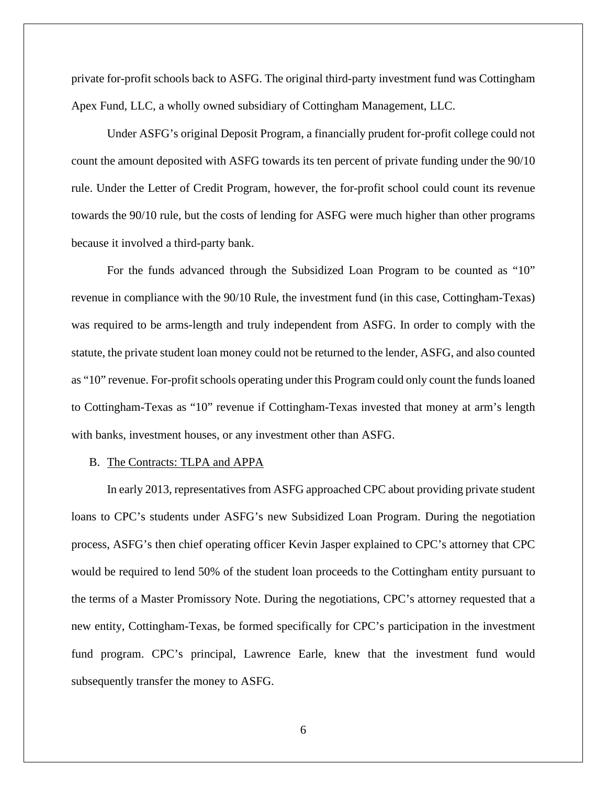private for-profit schools back to ASFG. The original third-party investment fund was Cottingham Apex Fund, LLC, a wholly owned subsidiary of Cottingham Management, LLC.

Under ASFG's original Deposit Program, a financially prudent for-profit college could not count the amount deposited with ASFG towards its ten percent of private funding under the 90/10 rule. Under the Letter of Credit Program, however, the for-profit school could count its revenue towards the 90/10 rule, but the costs of lending for ASFG were much higher than other programs because it involved a third-party bank.

For the funds advanced through the Subsidized Loan Program to be counted as "10" revenue in compliance with the 90/10 Rule, the investment fund (in this case, Cottingham-Texas) was required to be arms-length and truly independent from ASFG. In order to comply with the statute, the private student loan money could not be returned to the lender, ASFG, and also counted as "10" revenue. For-profit schools operating under this Program could only count the funds loaned to Cottingham-Texas as "10" revenue if Cottingham-Texas invested that money at arm's length with banks, investment houses, or any investment other than ASFG.

#### B. The Contracts: TLPA and APPA

In early 2013, representatives from ASFG approached CPC about providing private student loans to CPC's students under ASFG's new Subsidized Loan Program. During the negotiation process, ASFG's then chief operating officer Kevin Jasper explained to CPC's attorney that CPC would be required to lend 50% of the student loan proceeds to the Cottingham entity pursuant to the terms of a Master Promissory Note. During the negotiations, CPC's attorney requested that a new entity, Cottingham-Texas, be formed specifically for CPC's participation in the investment fund program. CPC's principal, Lawrence Earle, knew that the investment fund would subsequently transfer the money to ASFG.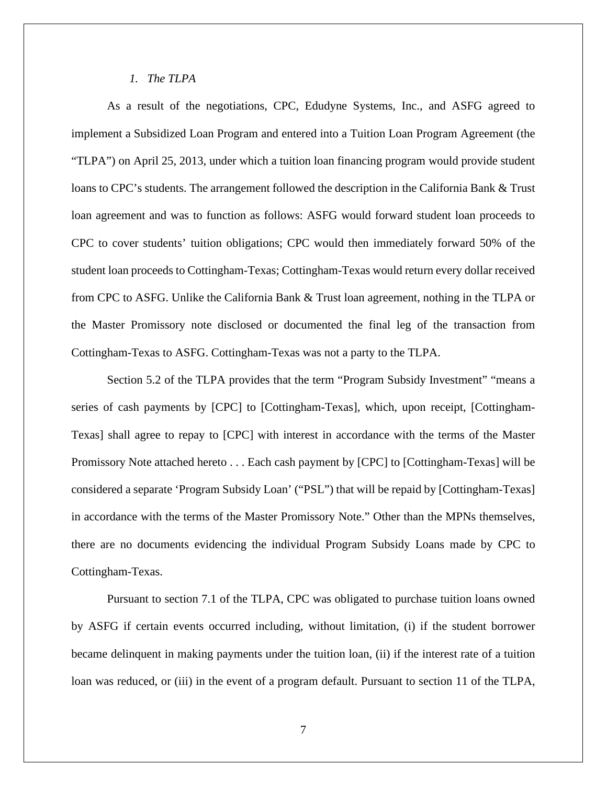*1. The TLPA*

As a result of the negotiations, CPC, Edudyne Systems, Inc., and ASFG agreed to implement a Subsidized Loan Program and entered into a Tuition Loan Program Agreement (the "TLPA") on April 25, 2013, under which a tuition loan financing program would provide student loans to CPC's students. The arrangement followed the description in the California Bank & Trust loan agreement and was to function as follows: ASFG would forward student loan proceeds to CPC to cover students' tuition obligations; CPC would then immediately forward 50% of the student loan proceeds to Cottingham-Texas; Cottingham-Texas would return every dollar received from CPC to ASFG. Unlike the California Bank & Trust loan agreement, nothing in the TLPA or the Master Promissory note disclosed or documented the final leg of the transaction from Cottingham-Texas to ASFG. Cottingham-Texas was not a party to the TLPA.

Section 5.2 of the TLPA provides that the term "Program Subsidy Investment" "means a series of cash payments by [CPC] to [Cottingham-Texas], which, upon receipt, [Cottingham-Texas] shall agree to repay to [CPC] with interest in accordance with the terms of the Master Promissory Note attached hereto . . . Each cash payment by [CPC] to [Cottingham-Texas] will be considered a separate 'Program Subsidy Loan' ("PSL") that will be repaid by [Cottingham-Texas] in accordance with the terms of the Master Promissory Note." Other than the MPNs themselves, there are no documents evidencing the individual Program Subsidy Loans made by CPC to Cottingham-Texas.

Pursuant to section 7.1 of the TLPA, CPC was obligated to purchase tuition loans owned by ASFG if certain events occurred including, without limitation, (i) if the student borrower became delinquent in making payments under the tuition loan, (ii) if the interest rate of a tuition loan was reduced, or (iii) in the event of a program default. Pursuant to section 11 of the TLPA,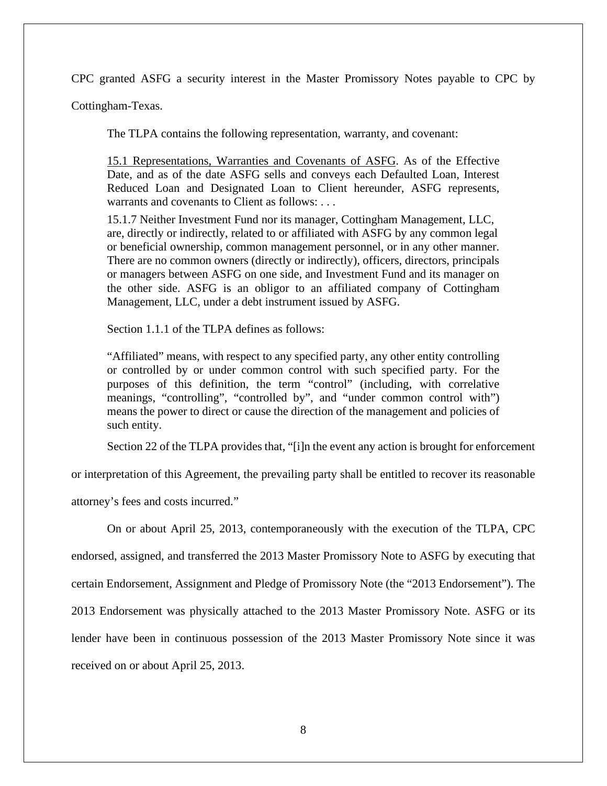CPC granted ASFG a security interest in the Master Promissory Notes payable to CPC by

Cottingham-Texas.

The TLPA contains the following representation, warranty, and covenant:

15.1 Representations, Warranties and Covenants of ASFG. As of the Effective Date, and as of the date ASFG sells and conveys each Defaulted Loan, Interest Reduced Loan and Designated Loan to Client hereunder, ASFG represents, warrants and covenants to Client as follows: . . .

15.1.7 Neither Investment Fund nor its manager, Cottingham Management, LLC, are, directly or indirectly, related to or affiliated with ASFG by any common legal or beneficial ownership, common management personnel, or in any other manner. There are no common owners (directly or indirectly), officers, directors, principals or managers between ASFG on one side, and Investment Fund and its manager on the other side. ASFG is an obligor to an affiliated company of Cottingham Management, LLC, under a debt instrument issued by ASFG.

Section 1.1.1 of the TLPA defines as follows:

"Affiliated" means, with respect to any specified party, any other entity controlling or controlled by or under common control with such specified party. For the purposes of this definition, the term "control" (including, with correlative meanings, "controlling", "controlled by", and "under common control with") means the power to direct or cause the direction of the management and policies of such entity.

Section 22 of the TLPA provides that, "[i]n the event any action is brought for enforcement

or interpretation of this Agreement, the prevailing party shall be entitled to recover its reasonable

attorney's fees and costs incurred."

On or about April 25, 2013, contemporaneously with the execution of the TLPA, CPC endorsed, assigned, and transferred the 2013 Master Promissory Note to ASFG by executing that certain Endorsement, Assignment and Pledge of Promissory Note (the "2013 Endorsement"). The 2013 Endorsement was physically attached to the 2013 Master Promissory Note. ASFG or its lender have been in continuous possession of the 2013 Master Promissory Note since it was received on or about April 25, 2013.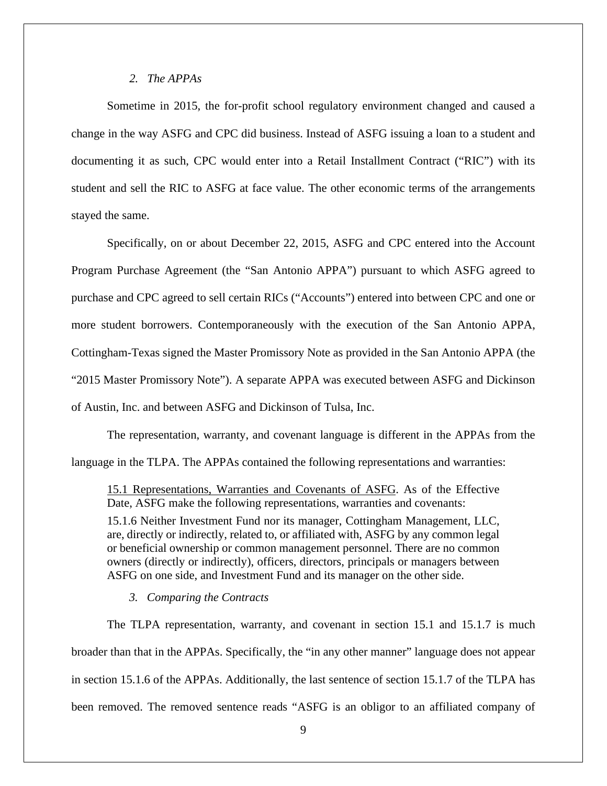### *2. The APPAs*

Sometime in 2015, the for-profit school regulatory environment changed and caused a change in the way ASFG and CPC did business. Instead of ASFG issuing a loan to a student and documenting it as such, CPC would enter into a Retail Installment Contract ("RIC") with its student and sell the RIC to ASFG at face value. The other economic terms of the arrangements stayed the same.

Specifically, on or about December 22, 2015, ASFG and CPC entered into the Account Program Purchase Agreement (the "San Antonio APPA") pursuant to which ASFG agreed to purchase and CPC agreed to sell certain RICs ("Accounts") entered into between CPC and one or more student borrowers. Contemporaneously with the execution of the San Antonio APPA, Cottingham-Texas signed the Master Promissory Note as provided in the San Antonio APPA (the "2015 Master Promissory Note"). A separate APPA was executed between ASFG and Dickinson of Austin, Inc. and between ASFG and Dickinson of Tulsa, Inc.

The representation, warranty, and covenant language is different in the APPAs from the language in the TLPA. The APPAs contained the following representations and warranties:

15.1 Representations, Warranties and Covenants of ASFG. As of the Effective Date, ASFG make the following representations, warranties and covenants:

15.1.6 Neither Investment Fund nor its manager, Cottingham Management, LLC, are, directly or indirectly, related to, or affiliated with, ASFG by any common legal or beneficial ownership or common management personnel. There are no common owners (directly or indirectly), officers, directors, principals or managers between ASFG on one side, and Investment Fund and its manager on the other side.

#### *3. Comparing the Contracts*

The TLPA representation, warranty, and covenant in section 15.1 and 15.1.7 is much broader than that in the APPAs. Specifically, the "in any other manner" language does not appear in section 15.1.6 of the APPAs. Additionally, the last sentence of section 15.1.7 of the TLPA has been removed. The removed sentence reads "ASFG is an obligor to an affiliated company of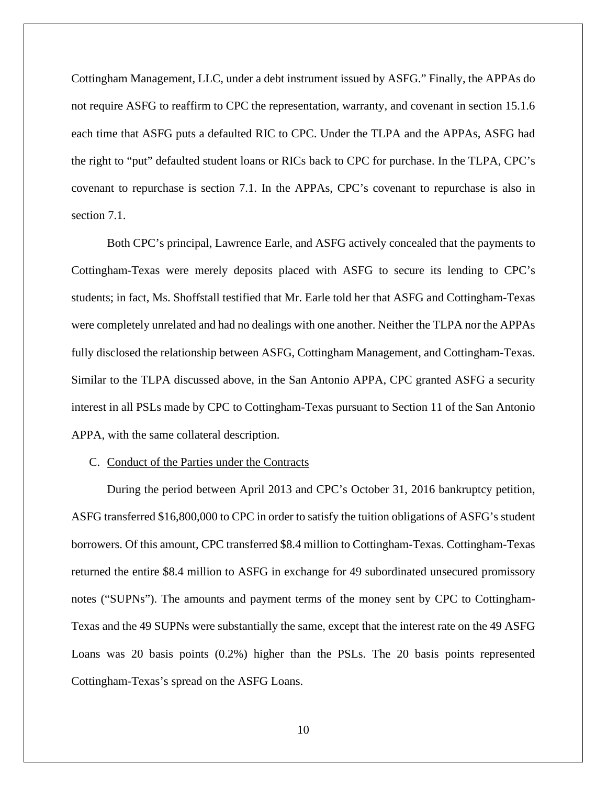Cottingham Management, LLC, under a debt instrument issued by ASFG." Finally, the APPAs do not require ASFG to reaffirm to CPC the representation, warranty, and covenant in section 15.1.6 each time that ASFG puts a defaulted RIC to CPC. Under the TLPA and the APPAs, ASFG had the right to "put" defaulted student loans or RICs back to CPC for purchase. In the TLPA, CPC's covenant to repurchase is section 7.1. In the APPAs, CPC's covenant to repurchase is also in section 7.1.

Both CPC's principal, Lawrence Earle, and ASFG actively concealed that the payments to Cottingham-Texas were merely deposits placed with ASFG to secure its lending to CPC's students; in fact, Ms. Shoffstall testified that Mr. Earle told her that ASFG and Cottingham-Texas were completely unrelated and had no dealings with one another. Neither the TLPA nor the APPAs fully disclosed the relationship between ASFG, Cottingham Management, and Cottingham-Texas. Similar to the TLPA discussed above, in the San Antonio APPA, CPC granted ASFG a security interest in all PSLs made by CPC to Cottingham-Texas pursuant to Section 11 of the San Antonio APPA, with the same collateral description.

#### C. Conduct of the Parties under the Contracts

During the period between April 2013 and CPC's October 31, 2016 bankruptcy petition, ASFG transferred \$16,800,000 to CPC in order to satisfy the tuition obligations of ASFG's student borrowers. Of this amount, CPC transferred \$8.4 million to Cottingham-Texas. Cottingham-Texas returned the entire \$8.4 million to ASFG in exchange for 49 subordinated unsecured promissory notes ("SUPNs"). The amounts and payment terms of the money sent by CPC to Cottingham-Texas and the 49 SUPNs were substantially the same, except that the interest rate on the 49 ASFG Loans was 20 basis points (0.2%) higher than the PSLs. The 20 basis points represented Cottingham-Texas's spread on the ASFG Loans.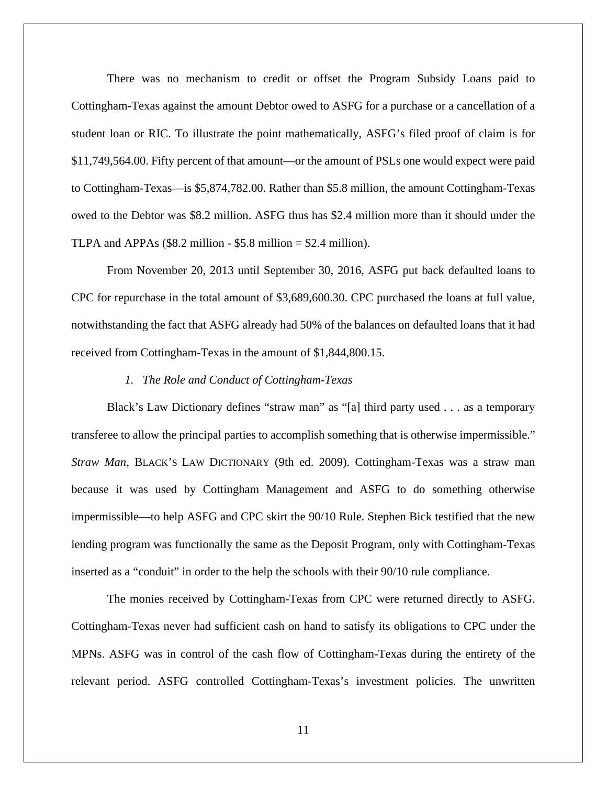There was no mechanism to credit or offset the Program Subsidy Loans paid to Cottingham-Texas against the amount Debtor owed to ASFG for a purchase or a cancellation of a student loan or RIC. To illustrate the point mathematically, ASFG's filed proof of claim is for \$11,749,564.00. Fifty percent of that amount—or the amount of PSLs one would expect were paid to Cottingham-Texas—is \$5,874,782.00. Rather than \$5.8 million, the amount Cottingham-Texas owed to the Debtor was \$8.2 million. ASFG thus has \$2.4 million more than it should under the TLPA and APPAs  $(\$8.2$  million -  $\$5.8$  million =  $\$2.4$  million).

From November 20, 2013 until September 30, 2016, ASFG put back defaulted loans to CPC for repurchase in the total amount of \$3,689,600.30. CPC purchased the loans at full value, notwithstanding the fact that ASFG already had 50% of the balances on defaulted loans that it had received from Cottingham-Texas in the amount of \$1,844,800.15.

#### *1. The Role and Conduct of Cottingham-Texas*

Black's Law Dictionary defines "straw man" as "[a] third party used . . . as a temporary transferee to allow the principal parties to accomplish something that is otherwise impermissible." *Straw Man*, BLACK'S LAW DICTIONARY (9th ed. 2009). Cottingham-Texas was a straw man because it was used by Cottingham Management and ASFG to do something otherwise impermissible—to help ASFG and CPC skirt the 90/10 Rule. Stephen Bick testified that the new lending program was functionally the same as the Deposit Program, only with Cottingham-Texas inserted as a "conduit" in order to the help the schools with their 90/10 rule compliance.

The monies received by Cottingham-Texas from CPC were returned directly to ASFG. Cottingham-Texas never had sufficient cash on hand to satisfy its obligations to CPC under the MPNs. ASFG was in control of the cash flow of Cottingham-Texas during the entirety of the relevant period. ASFG controlled Cottingham-Texas's investment policies. The unwritten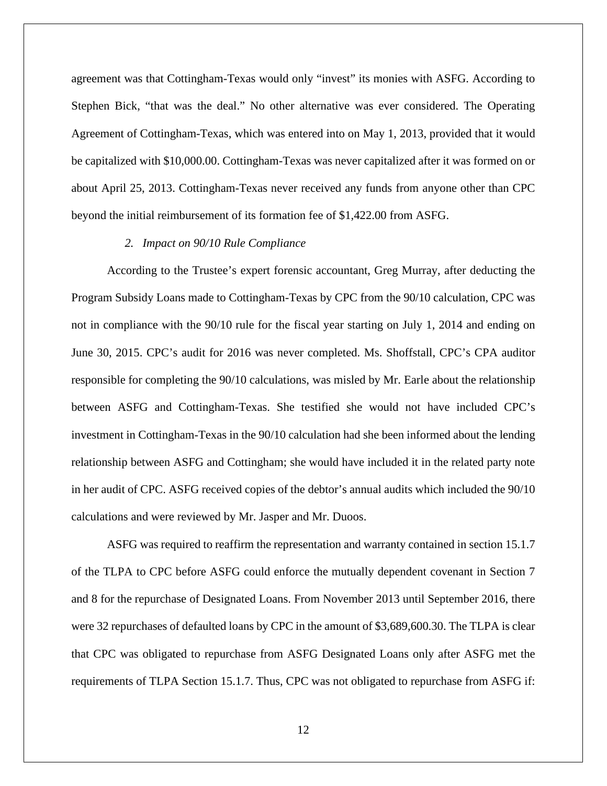agreement was that Cottingham-Texas would only "invest" its monies with ASFG. According to Stephen Bick, "that was the deal." No other alternative was ever considered. The Operating Agreement of Cottingham-Texas, which was entered into on May 1, 2013, provided that it would be capitalized with \$10,000.00. Cottingham-Texas was never capitalized after it was formed on or about April 25, 2013. Cottingham-Texas never received any funds from anyone other than CPC beyond the initial reimbursement of its formation fee of \$1,422.00 from ASFG.

### *2. Impact on 90/10 Rule Compliance*

According to the Trustee's expert forensic accountant, Greg Murray, after deducting the Program Subsidy Loans made to Cottingham-Texas by CPC from the 90/10 calculation, CPC was not in compliance with the 90/10 rule for the fiscal year starting on July 1, 2014 and ending on June 30, 2015. CPC's audit for 2016 was never completed. Ms. Shoffstall, CPC's CPA auditor responsible for completing the 90/10 calculations, was misled by Mr. Earle about the relationship between ASFG and Cottingham-Texas. She testified she would not have included CPC's investment in Cottingham-Texas in the 90/10 calculation had she been informed about the lending relationship between ASFG and Cottingham; she would have included it in the related party note in her audit of CPC. ASFG received copies of the debtor's annual audits which included the 90/10 calculations and were reviewed by Mr. Jasper and Mr. Duoos.

ASFG was required to reaffirm the representation and warranty contained in section 15.1.7 of the TLPA to CPC before ASFG could enforce the mutually dependent covenant in Section 7 and 8 for the repurchase of Designated Loans. From November 2013 until September 2016, there were 32 repurchases of defaulted loans by CPC in the amount of \$3,689,600.30. The TLPA is clear that CPC was obligated to repurchase from ASFG Designated Loans only after ASFG met the requirements of TLPA Section 15.1.7. Thus, CPC was not obligated to repurchase from ASFG if: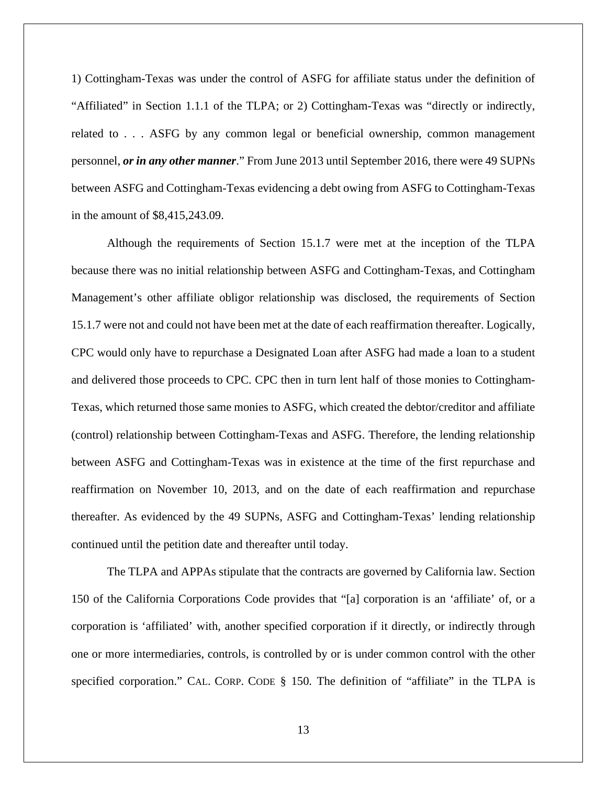1) Cottingham-Texas was under the control of ASFG for affiliate status under the definition of "Affiliated" in Section 1.1.1 of the TLPA; or 2) Cottingham-Texas was "directly or indirectly, related to . . . ASFG by any common legal or beneficial ownership, common management personnel, *or in any other manner*." From June 2013 until September 2016, there were 49 SUPNs between ASFG and Cottingham-Texas evidencing a debt owing from ASFG to Cottingham-Texas in the amount of \$8,415,243.09.

Although the requirements of Section 15.1.7 were met at the inception of the TLPA because there was no initial relationship between ASFG and Cottingham-Texas, and Cottingham Management's other affiliate obligor relationship was disclosed, the requirements of Section 15.1.7 were not and could not have been met at the date of each reaffirmation thereafter. Logically, CPC would only have to repurchase a Designated Loan after ASFG had made a loan to a student and delivered those proceeds to CPC. CPC then in turn lent half of those monies to Cottingham-Texas, which returned those same monies to ASFG, which created the debtor/creditor and affiliate (control) relationship between Cottingham-Texas and ASFG. Therefore, the lending relationship between ASFG and Cottingham-Texas was in existence at the time of the first repurchase and reaffirmation on November 10, 2013, and on the date of each reaffirmation and repurchase thereafter. As evidenced by the 49 SUPNs, ASFG and Cottingham-Texas' lending relationship continued until the petition date and thereafter until today.

The TLPA and APPAs stipulate that the contracts are governed by California law. Section 150 of the California Corporations Code provides that "[a] corporation is an 'affiliate' of, or a corporation is 'affiliated' with, another specified corporation if it directly, or indirectly through one or more intermediaries, controls, is controlled by or is under common control with the other specified corporation." CAL. CORP. CODE § 150. The definition of "affiliate" in the TLPA is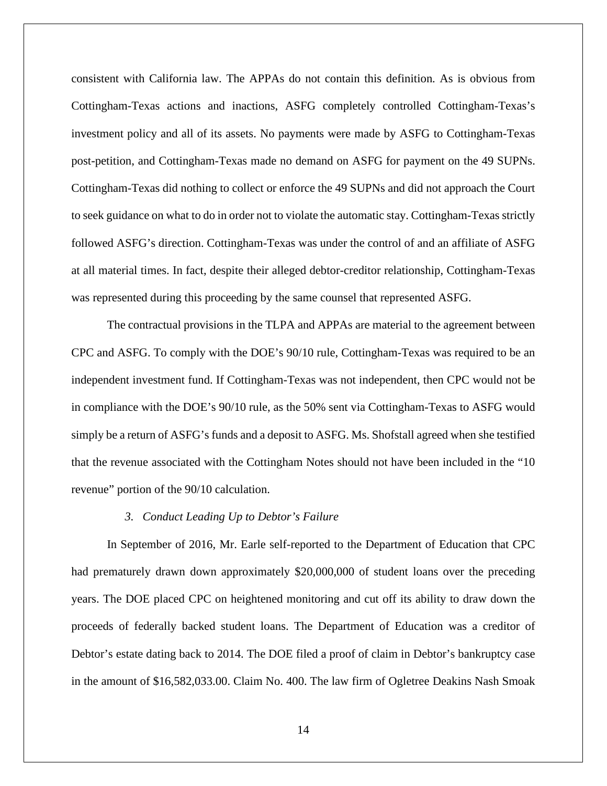consistent with California law. The APPAs do not contain this definition. As is obvious from Cottingham-Texas actions and inactions, ASFG completely controlled Cottingham-Texas's investment policy and all of its assets. No payments were made by ASFG to Cottingham-Texas post-petition, and Cottingham-Texas made no demand on ASFG for payment on the 49 SUPNs. Cottingham-Texas did nothing to collect or enforce the 49 SUPNs and did not approach the Court to seek guidance on what to do in order not to violate the automatic stay. Cottingham-Texas strictly followed ASFG's direction. Cottingham-Texas was under the control of and an affiliate of ASFG at all material times. In fact, despite their alleged debtor-creditor relationship, Cottingham-Texas was represented during this proceeding by the same counsel that represented ASFG.

The contractual provisions in the TLPA and APPAs are material to the agreement between CPC and ASFG. To comply with the DOE's 90/10 rule, Cottingham-Texas was required to be an independent investment fund. If Cottingham-Texas was not independent, then CPC would not be in compliance with the DOE's 90/10 rule, as the 50% sent via Cottingham-Texas to ASFG would simply be a return of ASFG's funds and a deposit to ASFG. Ms. Shofstall agreed when she testified that the revenue associated with the Cottingham Notes should not have been included in the "10 revenue" portion of the 90/10 calculation.

#### *3. Conduct Leading Up to Debtor's Failure*

In September of 2016, Mr. Earle self-reported to the Department of Education that CPC had prematurely drawn down approximately \$20,000,000 of student loans over the preceding years. The DOE placed CPC on heightened monitoring and cut off its ability to draw down the proceeds of federally backed student loans. The Department of Education was a creditor of Debtor's estate dating back to 2014. The DOE filed a proof of claim in Debtor's bankruptcy case in the amount of \$16,582,033.00. Claim No. 400. The law firm of Ogletree Deakins Nash Smoak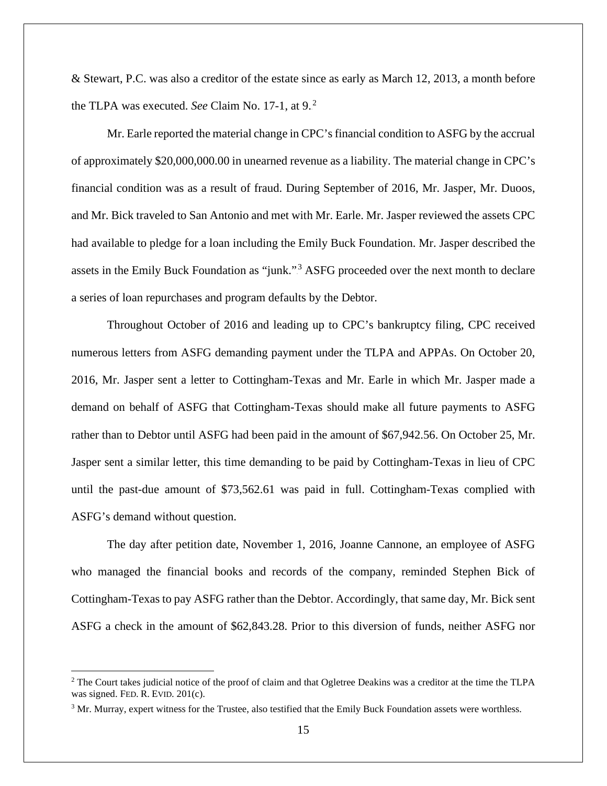& Stewart, P.C. was also a creditor of the estate since as early as March 12, 2013, a month before the TLPA was executed. *See* Claim No. 17-1, at 9.<sup>2</sup>

Mr. Earle reported the material change in CPC's financial condition to ASFG by the accrual of approximately \$20,000,000.00 in unearned revenue as a liability. The material change in CPC's financial condition was as a result of fraud. During September of 2016, Mr. Jasper, Mr. Duoos, and Mr. Bick traveled to San Antonio and met with Mr. Earle. Mr. Jasper reviewed the assets CPC had available to pledge for a loan including the Emily Buck Foundation. Mr. Jasper described the assets in the Emily Buck Foundation as "junk."<sup>3</sup> ASFG proceeded over the next month to declare a series of loan repurchases and program defaults by the Debtor.

Throughout October of 2016 and leading up to CPC's bankruptcy filing, CPC received numerous letters from ASFG demanding payment under the TLPA and APPAs. On October 20, 2016, Mr. Jasper sent a letter to Cottingham-Texas and Mr. Earle in which Mr. Jasper made a demand on behalf of ASFG that Cottingham-Texas should make all future payments to ASFG rather than to Debtor until ASFG had been paid in the amount of \$67,942.56. On October 25, Mr. Jasper sent a similar letter, this time demanding to be paid by Cottingham-Texas in lieu of CPC until the past-due amount of \$73,562.61 was paid in full. Cottingham-Texas complied with ASFG's demand without question.

The day after petition date, November 1, 2016, Joanne Cannone, an employee of ASFG who managed the financial books and records of the company, reminded Stephen Bick of Cottingham-Texas to pay ASFG rather than the Debtor. Accordingly, that same day, Mr. Bick sent ASFG a check in the amount of \$62,843.28. Prior to this diversion of funds, neither ASFG nor

<sup>&</sup>lt;sup>2</sup> The Court takes judicial notice of the proof of claim and that Ogletree Deakins was a creditor at the time the TLPA was signed. FED. R. EVID. 201(c).

<sup>&</sup>lt;sup>3</sup> Mr. Murray, expert witness for the Trustee, also testified that the Emily Buck Foundation assets were worthless.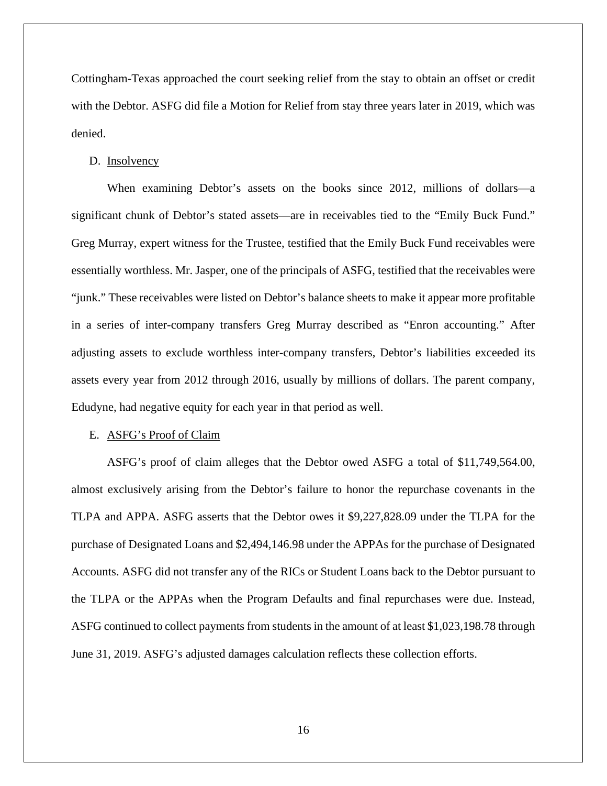Cottingham-Texas approached the court seeking relief from the stay to obtain an offset or credit with the Debtor. ASFG did file a Motion for Relief from stay three years later in 2019, which was denied.

### D. Insolvency

When examining Debtor's assets on the books since 2012, millions of dollars—a significant chunk of Debtor's stated assets—are in receivables tied to the "Emily Buck Fund." Greg Murray, expert witness for the Trustee, testified that the Emily Buck Fund receivables were essentially worthless. Mr. Jasper, one of the principals of ASFG, testified that the receivables were "junk." These receivables were listed on Debtor's balance sheets to make it appear more profitable in a series of inter-company transfers Greg Murray described as "Enron accounting." After adjusting assets to exclude worthless inter-company transfers, Debtor's liabilities exceeded its assets every year from 2012 through 2016, usually by millions of dollars. The parent company, Edudyne, had negative equity for each year in that period as well.

#### E. ASFG's Proof of Claim

ASFG's proof of claim alleges that the Debtor owed ASFG a total of \$11,749,564.00, almost exclusively arising from the Debtor's failure to honor the repurchase covenants in the TLPA and APPA. ASFG asserts that the Debtor owes it \$9,227,828.09 under the TLPA for the purchase of Designated Loans and \$2,494,146.98 under the APPAs for the purchase of Designated Accounts. ASFG did not transfer any of the RICs or Student Loans back to the Debtor pursuant to the TLPA or the APPAs when the Program Defaults and final repurchases were due. Instead, ASFG continued to collect payments from students in the amount of at least \$1,023,198.78 through June 31, 2019. ASFG's adjusted damages calculation reflects these collection efforts.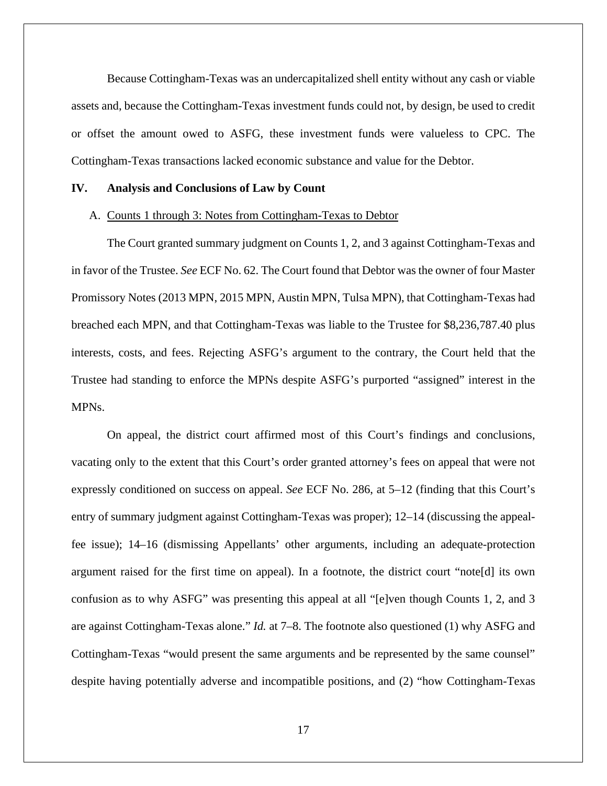Because Cottingham-Texas was an undercapitalized shell entity without any cash or viable assets and, because the Cottingham-Texas investment funds could not, by design, be used to credit or offset the amount owed to ASFG, these investment funds were valueless to CPC. The Cottingham-Texas transactions lacked economic substance and value for the Debtor.

### **IV. Analysis and Conclusions of Law by Count**

### A. Counts 1 through 3: Notes from Cottingham-Texas to Debtor

The Court granted summary judgment on Counts 1, 2, and 3 against Cottingham-Texas and in favor of the Trustee. *See* ECF No. 62. The Court found that Debtor was the owner of four Master Promissory Notes (2013 MPN, 2015 MPN, Austin MPN, Tulsa MPN), that Cottingham-Texas had breached each MPN, and that Cottingham-Texas was liable to the Trustee for \$8,236,787.40 plus interests, costs, and fees. Rejecting ASFG's argument to the contrary, the Court held that the Trustee had standing to enforce the MPNs despite ASFG's purported "assigned" interest in the MPNs.

On appeal, the district court affirmed most of this Court's findings and conclusions, vacating only to the extent that this Court's order granted attorney's fees on appeal that were not expressly conditioned on success on appeal. *See* ECF No. 286, at 5–12 (finding that this Court's entry of summary judgment against Cottingham-Texas was proper); 12–14 (discussing the appealfee issue); 14–16 (dismissing Appellants' other arguments, including an adequate-protection argument raised for the first time on appeal). In a footnote, the district court "note[d] its own confusion as to why ASFG" was presenting this appeal at all "[e]ven though Counts 1, 2, and 3 are against Cottingham-Texas alone." *Id.* at 7–8. The footnote also questioned (1) why ASFG and Cottingham-Texas "would present the same arguments and be represented by the same counsel" despite having potentially adverse and incompatible positions, and (2) "how Cottingham-Texas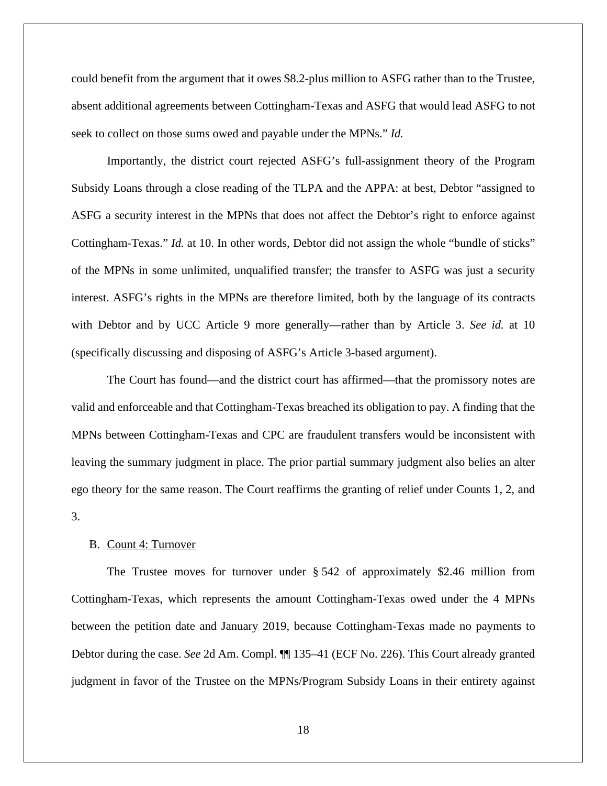could benefit from the argument that it owes \$8.2-plus million to ASFG rather than to the Trustee, absent additional agreements between Cottingham-Texas and ASFG that would lead ASFG to not seek to collect on those sums owed and payable under the MPNs." *Id.*

Importantly, the district court rejected ASFG's full-assignment theory of the Program Subsidy Loans through a close reading of the TLPA and the APPA: at best, Debtor "assigned to ASFG a security interest in the MPNs that does not affect the Debtor's right to enforce against Cottingham-Texas." *Id.* at 10. In other words, Debtor did not assign the whole "bundle of sticks" of the MPNs in some unlimited, unqualified transfer; the transfer to ASFG was just a security interest. ASFG's rights in the MPNs are therefore limited, both by the language of its contracts with Debtor and by UCC Article 9 more generally—rather than by Article 3. *See id.* at 10 (specifically discussing and disposing of ASFG's Article 3-based argument).

The Court has found—and the district court has affirmed—that the promissory notes are valid and enforceable and that Cottingham-Texas breached its obligation to pay. A finding that the MPNs between Cottingham-Texas and CPC are fraudulent transfers would be inconsistent with leaving the summary judgment in place. The prior partial summary judgment also belies an alter ego theory for the same reason. The Court reaffirms the granting of relief under Counts 1, 2, and 3.

### B. Count 4: Turnover

The Trustee moves for turnover under § 542 of approximately \$2.46 million from Cottingham-Texas, which represents the amount Cottingham-Texas owed under the 4 MPNs between the petition date and January 2019, because Cottingham-Texas made no payments to Debtor during the case. *See* 2d Am. Compl. ¶¶ 135–41 (ECF No. 226). This Court already granted judgment in favor of the Trustee on the MPNs/Program Subsidy Loans in their entirety against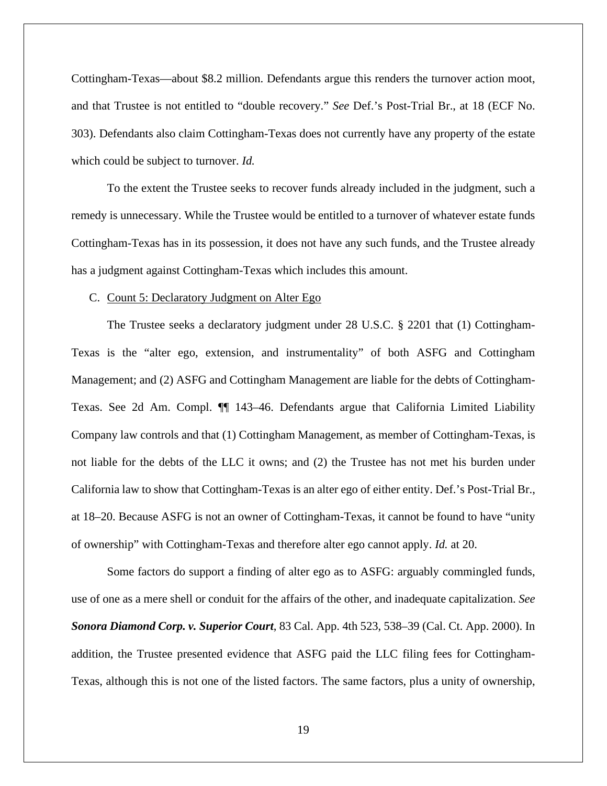Cottingham-Texas—about \$8.2 million. Defendants argue this renders the turnover action moot, and that Trustee is not entitled to "double recovery." *See* Def.'s Post-Trial Br., at 18 (ECF No. 303). Defendants also claim Cottingham-Texas does not currently have any property of the estate which could be subject to turnover. *Id.*

To the extent the Trustee seeks to recover funds already included in the judgment, such a remedy is unnecessary. While the Trustee would be entitled to a turnover of whatever estate funds Cottingham-Texas has in its possession, it does not have any such funds, and the Trustee already has a judgment against Cottingham-Texas which includes this amount.

#### C. Count 5: Declaratory Judgment on Alter Ego

The Trustee seeks a declaratory judgment under 28 U.S.C. § 2201 that (1) Cottingham-Texas is the "alter ego, extension, and instrumentality" of both ASFG and Cottingham Management; and (2) ASFG and Cottingham Management are liable for the debts of Cottingham-Texas. See 2d Am. Compl. ¶¶ 143–46. Defendants argue that California Limited Liability Company law controls and that (1) Cottingham Management, as member of Cottingham-Texas, is not liable for the debts of the LLC it owns; and (2) the Trustee has not met his burden under California law to show that Cottingham-Texas is an alter ego of either entity. Def.'s Post-Trial Br., at 18–20. Because ASFG is not an owner of Cottingham-Texas, it cannot be found to have "unity of ownership" with Cottingham-Texas and therefore alter ego cannot apply. *Id.* at 20.

Some factors do support a finding of alter ego as to ASFG: arguably commingled funds, use of one as a mere shell or conduit for the affairs of the other, and inadequate capitalization. *See Sonora Diamond Corp. v. Superior Court*, 83 Cal. App. 4th 523, 538–39 (Cal. Ct. App. 2000). In addition, the Trustee presented evidence that ASFG paid the LLC filing fees for Cottingham-Texas, although this is not one of the listed factors. The same factors, plus a unity of ownership,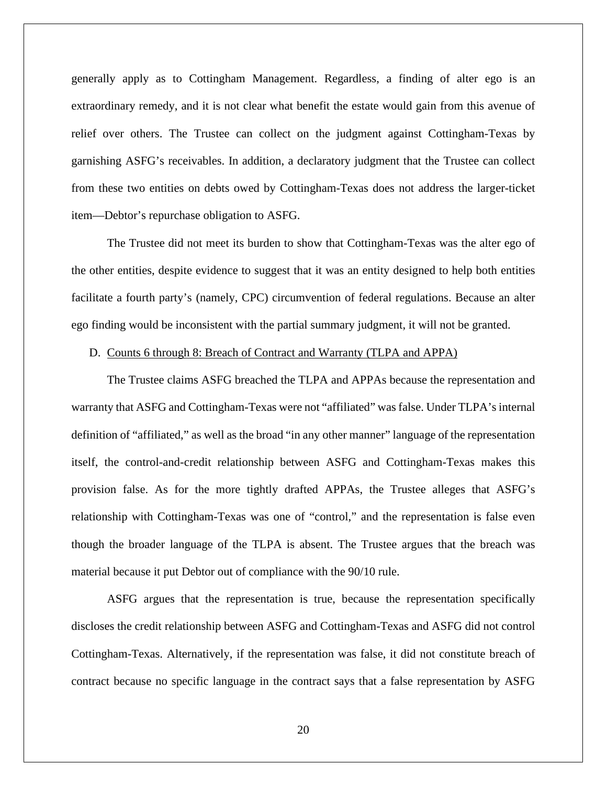generally apply as to Cottingham Management. Regardless, a finding of alter ego is an extraordinary remedy, and it is not clear what benefit the estate would gain from this avenue of relief over others. The Trustee can collect on the judgment against Cottingham-Texas by garnishing ASFG's receivables. In addition, a declaratory judgment that the Trustee can collect from these two entities on debts owed by Cottingham-Texas does not address the larger-ticket item—Debtor's repurchase obligation to ASFG.

The Trustee did not meet its burden to show that Cottingham-Texas was the alter ego of the other entities, despite evidence to suggest that it was an entity designed to help both entities facilitate a fourth party's (namely, CPC) circumvention of federal regulations. Because an alter ego finding would be inconsistent with the partial summary judgment, it will not be granted.

### D. Counts 6 through 8: Breach of Contract and Warranty (TLPA and APPA)

The Trustee claims ASFG breached the TLPA and APPAs because the representation and warranty that ASFG and Cottingham-Texas were not "affiliated" was false. Under TLPA's internal definition of "affiliated," as well as the broad "in any other manner" language of the representation itself, the control-and-credit relationship between ASFG and Cottingham-Texas makes this provision false. As for the more tightly drafted APPAs, the Trustee alleges that ASFG's relationship with Cottingham-Texas was one of "control," and the representation is false even though the broader language of the TLPA is absent. The Trustee argues that the breach was material because it put Debtor out of compliance with the 90/10 rule.

ASFG argues that the representation is true, because the representation specifically discloses the credit relationship between ASFG and Cottingham-Texas and ASFG did not control Cottingham-Texas. Alternatively, if the representation was false, it did not constitute breach of contract because no specific language in the contract says that a false representation by ASFG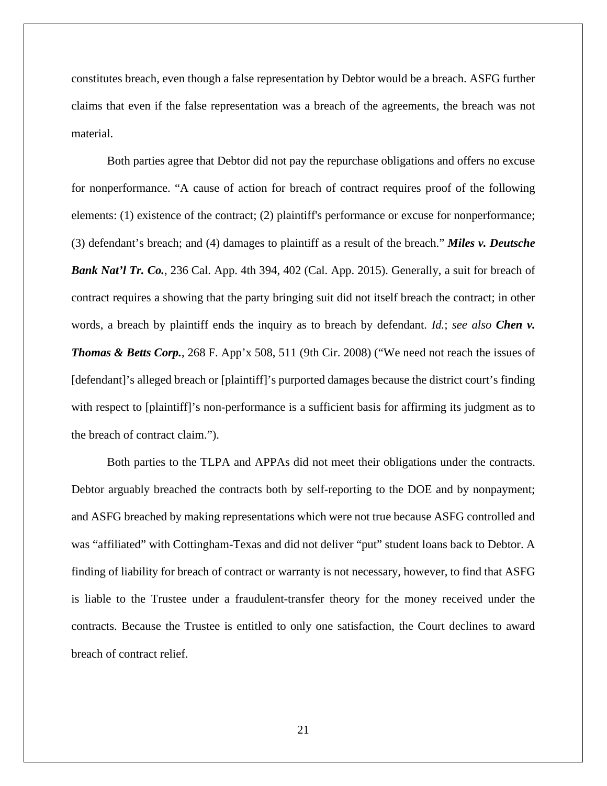constitutes breach, even though a false representation by Debtor would be a breach. ASFG further claims that even if the false representation was a breach of the agreements, the breach was not material.

Both parties agree that Debtor did not pay the repurchase obligations and offers no excuse for nonperformance. "A cause of action for breach of contract requires proof of the following elements: (1) existence of the contract; (2) plaintiff's performance or excuse for nonperformance; (3) defendant's breach; and (4) damages to plaintiff as a result of the breach." *Miles v. Deutsche Bank Nat'l Tr. Co.*, 236 Cal. App. 4th 394, 402 (Cal. App. 2015). Generally, a suit for breach of contract requires a showing that the party bringing suit did not itself breach the contract; in other words, a breach by plaintiff ends the inquiry as to breach by defendant. *Id.*; *see also Chen v. Thomas & Betts Corp.*, 268 F. App'x 508, 511 (9th Cir. 2008) ("We need not reach the issues of [defendant]'s alleged breach or [plaintiff]'s purported damages because the district court's finding with respect to [plaintiff]'s non-performance is a sufficient basis for affirming its judgment as to the breach of contract claim.").

Both parties to the TLPA and APPAs did not meet their obligations under the contracts. Debtor arguably breached the contracts both by self-reporting to the DOE and by nonpayment; and ASFG breached by making representations which were not true because ASFG controlled and was "affiliated" with Cottingham-Texas and did not deliver "put" student loans back to Debtor. A finding of liability for breach of contract or warranty is not necessary, however, to find that ASFG is liable to the Trustee under a fraudulent-transfer theory for the money received under the contracts. Because the Trustee is entitled to only one satisfaction, the Court declines to award breach of contract relief.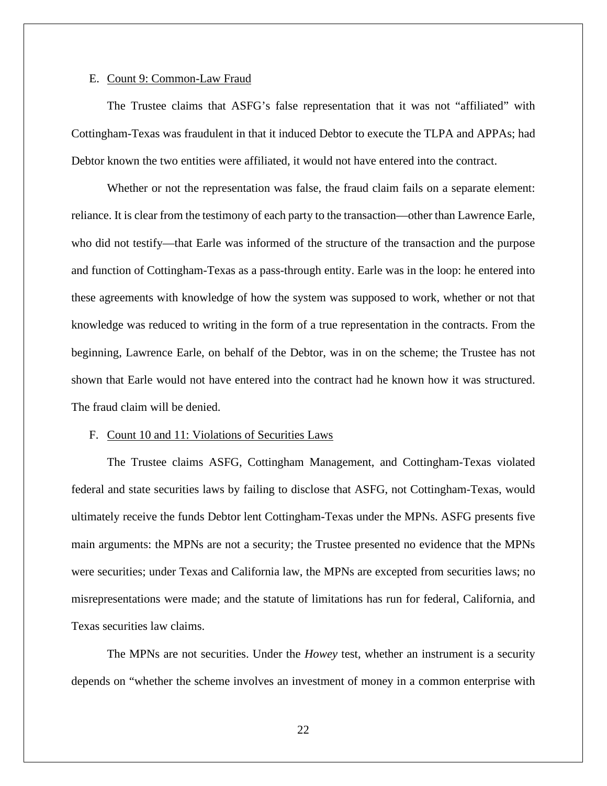#### E. Count 9: Common-Law Fraud

The Trustee claims that ASFG's false representation that it was not "affiliated" with Cottingham-Texas was fraudulent in that it induced Debtor to execute the TLPA and APPAs; had Debtor known the two entities were affiliated, it would not have entered into the contract.

Whether or not the representation was false, the fraud claim fails on a separate element: reliance. It is clear from the testimony of each party to the transaction—other than Lawrence Earle, who did not testify—that Earle was informed of the structure of the transaction and the purpose and function of Cottingham-Texas as a pass-through entity. Earle was in the loop: he entered into these agreements with knowledge of how the system was supposed to work, whether or not that knowledge was reduced to writing in the form of a true representation in the contracts. From the beginning, Lawrence Earle, on behalf of the Debtor, was in on the scheme; the Trustee has not shown that Earle would not have entered into the contract had he known how it was structured. The fraud claim will be denied.

#### F. Count 10 and 11: Violations of Securities Laws

The Trustee claims ASFG, Cottingham Management, and Cottingham-Texas violated federal and state securities laws by failing to disclose that ASFG, not Cottingham-Texas, would ultimately receive the funds Debtor lent Cottingham-Texas under the MPNs. ASFG presents five main arguments: the MPNs are not a security; the Trustee presented no evidence that the MPNs were securities; under Texas and California law, the MPNs are excepted from securities laws; no misrepresentations were made; and the statute of limitations has run for federal, California, and Texas securities law claims.

The MPNs are not securities. Under the *Howey* test, whether an instrument is a security depends on "whether the scheme involves an investment of money in a common enterprise with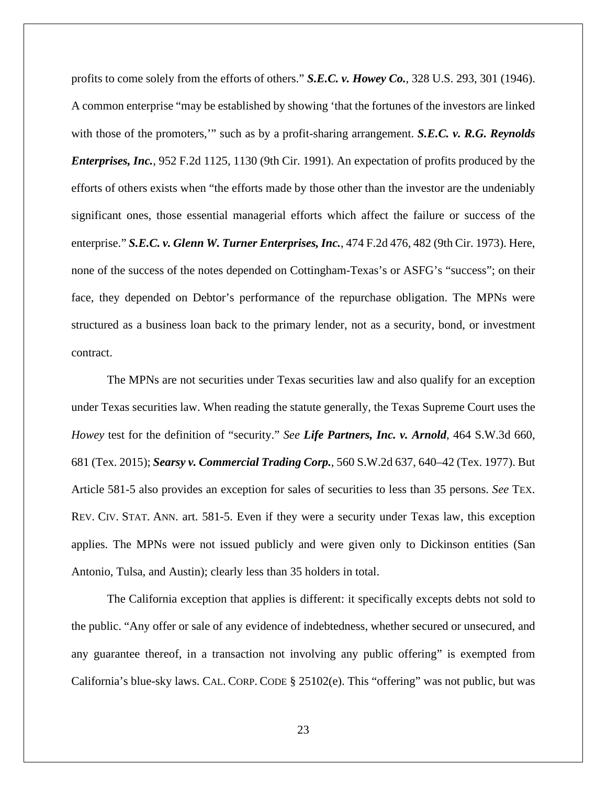profits to come solely from the efforts of others." *S.E.C. v. Howey Co.*, 328 U.S. 293, 301 (1946). A common enterprise "may be established by showing 'that the fortunes of the investors are linked with those of the promoters," such as by a profit-sharing arrangement. *S.E.C. v. R.G. Reynolds Enterprises, Inc.*, 952 F.2d 1125, 1130 (9th Cir. 1991). An expectation of profits produced by the efforts of others exists when "the efforts made by those other than the investor are the undeniably significant ones, those essential managerial efforts which affect the failure or success of the enterprise." *S.E.C. v. Glenn W. Turner Enterprises, Inc.*, 474 F.2d 476, 482 (9th Cir. 1973). Here, none of the success of the notes depended on Cottingham-Texas's or ASFG's "success"; on their face, they depended on Debtor's performance of the repurchase obligation. The MPNs were structured as a business loan back to the primary lender, not as a security, bond, or investment contract.

The MPNs are not securities under Texas securities law and also qualify for an exception under Texas securities law. When reading the statute generally, the Texas Supreme Court uses the *Howey* test for the definition of "security." *See Life Partners, Inc. v. Arnold*, 464 S.W.3d 660, 681 (Tex. 2015); *Searsy v. Commercial Trading Corp.*, 560 S.W.2d 637, 640–42 (Tex. 1977). But Article 581-5 also provides an exception for sales of securities to less than 35 persons. *See* TEX. REV. CIV. STAT. ANN. art. 581-5. Even if they were a security under Texas law, this exception applies. The MPNs were not issued publicly and were given only to Dickinson entities (San Antonio, Tulsa, and Austin); clearly less than 35 holders in total.

The California exception that applies is different: it specifically excepts debts not sold to the public. "Any offer or sale of any evidence of indebtedness, whether secured or unsecured, and any guarantee thereof, in a transaction not involving any public offering" is exempted from California's blue-sky laws. CAL. CORP. CODE § 25102(e). This "offering" was not public, but was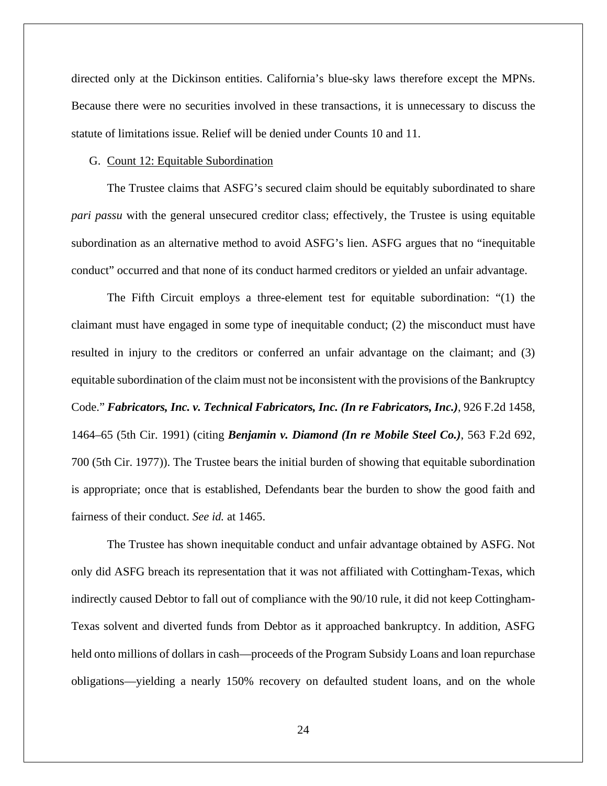directed only at the Dickinson entities. California's blue-sky laws therefore except the MPNs. Because there were no securities involved in these transactions, it is unnecessary to discuss the statute of limitations issue. Relief will be denied under Counts 10 and 11.

#### G. Count 12: Equitable Subordination

The Trustee claims that ASFG's secured claim should be equitably subordinated to share *pari passu* with the general unsecured creditor class; effectively, the Trustee is using equitable subordination as an alternative method to avoid ASFG's lien. ASFG argues that no "inequitable conduct" occurred and that none of its conduct harmed creditors or yielded an unfair advantage.

The Fifth Circuit employs a three-element test for equitable subordination: "(1) the claimant must have engaged in some type of inequitable conduct; (2) the misconduct must have resulted in injury to the creditors or conferred an unfair advantage on the claimant; and (3) equitable subordination of the claim must not be inconsistent with the provisions of the Bankruptcy Code." *Fabricators, Inc. v. Technical Fabricators, Inc. (In re Fabricators, Inc.)*, 926 F.2d 1458, 1464–65 (5th Cir. 1991) (citing *Benjamin v. Diamond (In re Mobile Steel Co.)*, 563 F.2d 692, 700 (5th Cir. 1977)). The Trustee bears the initial burden of showing that equitable subordination is appropriate; once that is established, Defendants bear the burden to show the good faith and fairness of their conduct. *See id.* at 1465.

The Trustee has shown inequitable conduct and unfair advantage obtained by ASFG. Not only did ASFG breach its representation that it was not affiliated with Cottingham-Texas, which indirectly caused Debtor to fall out of compliance with the 90/10 rule, it did not keep Cottingham-Texas solvent and diverted funds from Debtor as it approached bankruptcy. In addition, ASFG held onto millions of dollars in cash—proceeds of the Program Subsidy Loans and loan repurchase obligations—yielding a nearly 150% recovery on defaulted student loans, and on the whole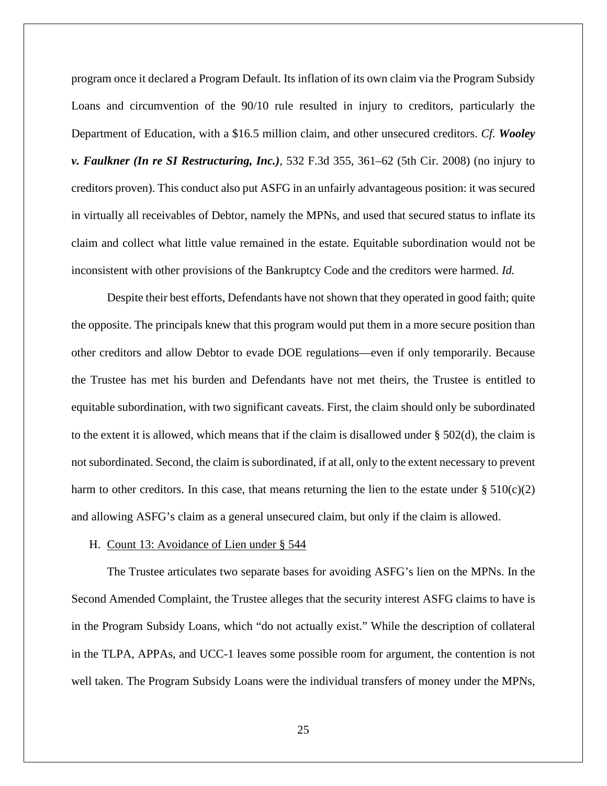program once it declared a Program Default. Its inflation of its own claim via the Program Subsidy Loans and circumvention of the 90/10 rule resulted in injury to creditors, particularly the Department of Education, with a \$16.5 million claim, and other unsecured creditors. *Cf. Wooley v. Faulkner (In re SI Restructuring, Inc.)*, 532 F.3d 355, 361–62 (5th Cir. 2008) (no injury to creditors proven). This conduct also put ASFG in an unfairly advantageous position: it was secured in virtually all receivables of Debtor, namely the MPNs, and used that secured status to inflate its claim and collect what little value remained in the estate. Equitable subordination would not be inconsistent with other provisions of the Bankruptcy Code and the creditors were harmed. *Id.*

Despite their best efforts, Defendants have not shown that they operated in good faith; quite the opposite. The principals knew that this program would put them in a more secure position than other creditors and allow Debtor to evade DOE regulations—even if only temporarily. Because the Trustee has met his burden and Defendants have not met theirs, the Trustee is entitled to equitable subordination, with two significant caveats. First, the claim should only be subordinated to the extent it is allowed, which means that if the claim is disallowed under  $\S$  502(d), the claim is not subordinated. Second, the claim is subordinated, if at all, only to the extent necessary to prevent harm to other creditors. In this case, that means returning the lien to the estate under  $\S 510(c)(2)$ and allowing ASFG's claim as a general unsecured claim, but only if the claim is allowed.

#### H. Count 13: Avoidance of Lien under § 544

The Trustee articulates two separate bases for avoiding ASFG's lien on the MPNs. In the Second Amended Complaint, the Trustee alleges that the security interest ASFG claims to have is in the Program Subsidy Loans, which "do not actually exist." While the description of collateral in the TLPA, APPAs, and UCC-1 leaves some possible room for argument, the contention is not well taken. The Program Subsidy Loans were the individual transfers of money under the MPNs,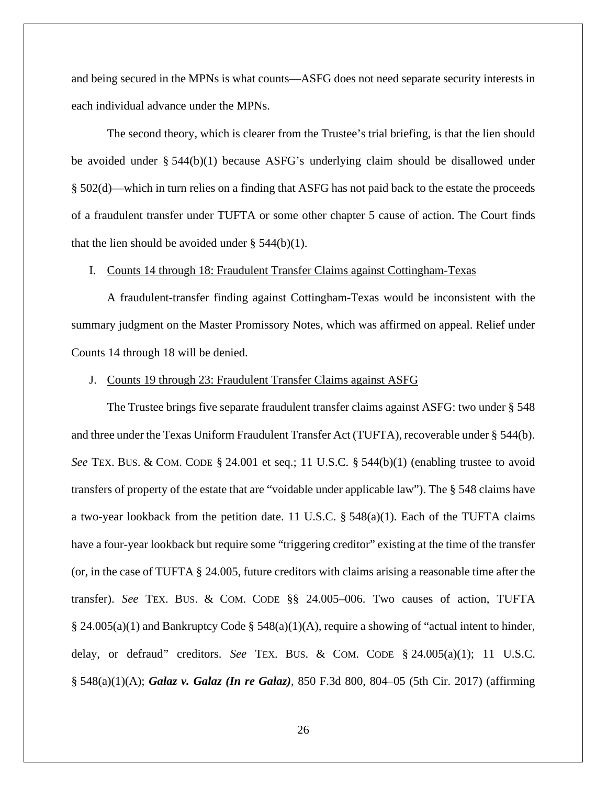and being secured in the MPNs is what counts—ASFG does not need separate security interests in each individual advance under the MPNs.

The second theory, which is clearer from the Trustee's trial briefing, is that the lien should be avoided under § 544(b)(1) because ASFG's underlying claim should be disallowed under § 502(d)—which in turn relies on a finding that ASFG has not paid back to the estate the proceeds of a fraudulent transfer under TUFTA or some other chapter 5 cause of action. The Court finds that the lien should be avoided under  $\S$  544(b)(1).

### I. Counts 14 through 18: Fraudulent Transfer Claims against Cottingham-Texas

A fraudulent-transfer finding against Cottingham-Texas would be inconsistent with the summary judgment on the Master Promissory Notes, which was affirmed on appeal. Relief under Counts 14 through 18 will be denied.

### J. Counts 19 through 23: Fraudulent Transfer Claims against ASFG

The Trustee brings five separate fraudulent transfer claims against ASFG: two under § 548 and three under the Texas Uniform Fraudulent Transfer Act (TUFTA), recoverable under § 544(b). *See* TEX. BUS. & COM. CODE § 24.001 et seq.; 11 U.S.C. § 544(b)(1) (enabling trustee to avoid transfers of property of the estate that are "voidable under applicable law"). The § 548 claims have a two-year lookback from the petition date. 11 U.S.C. § 548(a)(1). Each of the TUFTA claims have a four-year lookback but require some "triggering creditor" existing at the time of the transfer (or, in the case of TUFTA § 24.005, future creditors with claims arising a reasonable time after the transfer). *See* TEX. BUS. & COM. CODE §§ 24.005–006. Two causes of action, TUFTA § 24.005(a)(1) and Bankruptcy Code § 548(a)(1)(A), require a showing of "actual intent to hinder, delay, or defraud" creditors. *See* TEX. BUS. & COM. CODE § 24.005(a)(1); 11 U.S.C. § 548(a)(1)(A); *Galaz v. Galaz (In re Galaz)*, 850 F.3d 800, 804–05 (5th Cir. 2017) (affirming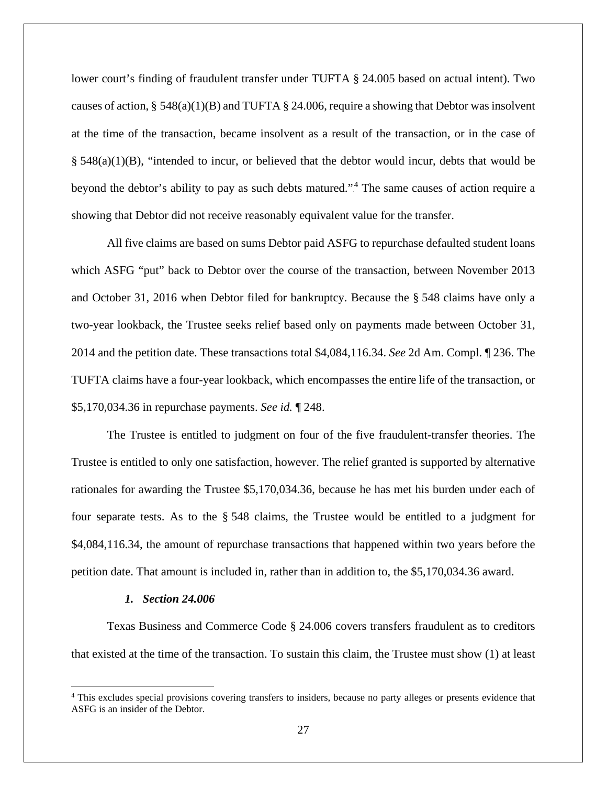lower court's finding of fraudulent transfer under TUFTA § 24.005 based on actual intent). Two causes of action,  $\S$  548(a)(1)(B) and TUFTA  $\S$  24.006, require a showing that Debtor was insolvent at the time of the transaction, became insolvent as a result of the transaction, or in the case of § 548(a)(1)(B), "intended to incur, or believed that the debtor would incur, debts that would be beyond the debtor's ability to pay as such debts matured."<sup>4</sup> The same causes of action require a showing that Debtor did not receive reasonably equivalent value for the transfer.

All five claims are based on sums Debtor paid ASFG to repurchase defaulted student loans which ASFG "put" back to Debtor over the course of the transaction, between November 2013 and October 31, 2016 when Debtor filed for bankruptcy. Because the § 548 claims have only a two-year lookback, the Trustee seeks relief based only on payments made between October 31, 2014 and the petition date. These transactions total \$4,084,116.34. *See* 2d Am. Compl. ¶ 236. The TUFTA claims have a four-year lookback, which encompasses the entire life of the transaction, or \$5,170,034.36 in repurchase payments. *See id.* ¶ 248.

The Trustee is entitled to judgment on four of the five fraudulent-transfer theories. The Trustee is entitled to only one satisfaction, however. The relief granted is supported by alternative rationales for awarding the Trustee \$5,170,034.36, because he has met his burden under each of four separate tests. As to the § 548 claims, the Trustee would be entitled to a judgment for \$4,084,116.34, the amount of repurchase transactions that happened within two years before the petition date. That amount is included in, rather than in addition to, the \$5,170,034.36 award.

### *1. Section 24.006*

Texas Business and Commerce Code § 24.006 covers transfers fraudulent as to creditors that existed at the time of the transaction. To sustain this claim, the Trustee must show (1) at least

<sup>&</sup>lt;sup>4</sup> This excludes special provisions covering transfers to insiders, because no party alleges or presents evidence that ASFG is an insider of the Debtor.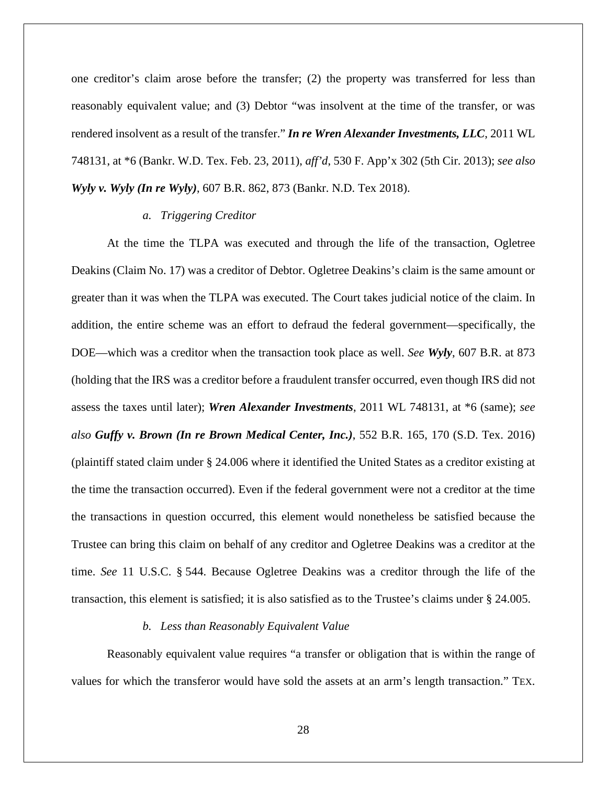one creditor's claim arose before the transfer; (2) the property was transferred for less than reasonably equivalent value; and (3) Debtor "was insolvent at the time of the transfer, or was rendered insolvent as a result of the transfer." *In re Wren Alexander Investments, LLC*, 2011 WL 748131, at \*6 (Bankr. W.D. Tex. Feb. 23, 2011), *aff'd*, 530 F. App'x 302 (5th Cir. 2013); *see also Wyly v. Wyly (In re Wyly)*, 607 B.R. 862, 873 (Bankr. N.D. Tex 2018).

# *a. Triggering Creditor*

At the time the TLPA was executed and through the life of the transaction, Ogletree Deakins (Claim No. 17) was a creditor of Debtor. Ogletree Deakins's claim is the same amount or greater than it was when the TLPA was executed. The Court takes judicial notice of the claim. In addition, the entire scheme was an effort to defraud the federal government—specifically, the DOE—which was a creditor when the transaction took place as well. *See Wyly*, 607 B.R. at 873 (holding that the IRS was a creditor before a fraudulent transfer occurred, even though IRS did not assess the taxes until later); *Wren Alexander Investments*, 2011 WL 748131, at \*6 (same); *see also Guffy v. Brown (In re Brown Medical Center, Inc.)*, 552 B.R. 165, 170 (S.D. Tex. 2016) (plaintiff stated claim under § 24.006 where it identified the United States as a creditor existing at the time the transaction occurred). Even if the federal government were not a creditor at the time the transactions in question occurred, this element would nonetheless be satisfied because the Trustee can bring this claim on behalf of any creditor and Ogletree Deakins was a creditor at the time. *See* 11 U.S.C. § 544. Because Ogletree Deakins was a creditor through the life of the transaction, this element is satisfied; it is also satisfied as to the Trustee's claims under § 24.005.

### *b. Less than Reasonably Equivalent Value*

Reasonably equivalent value requires "a transfer or obligation that is within the range of values for which the transferor would have sold the assets at an arm's length transaction." TEX.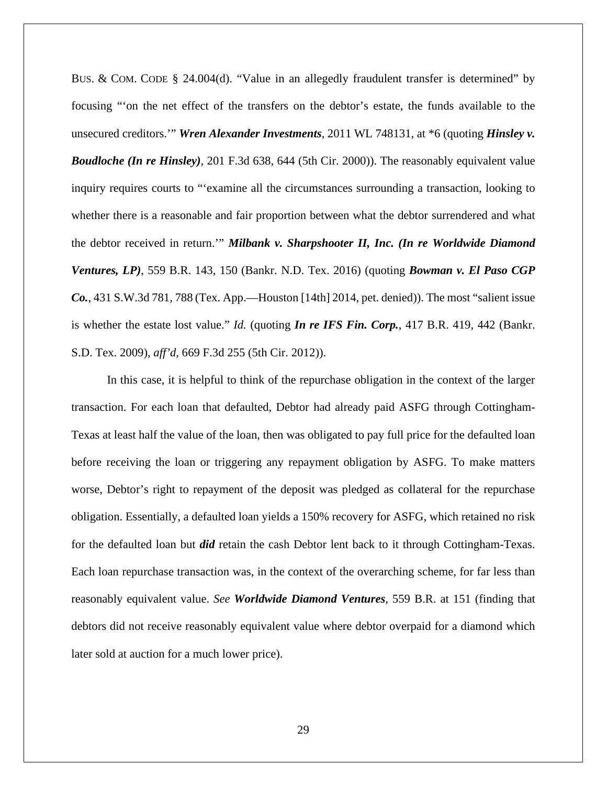BUS. & COM. CODE § 24.004(d). "Value in an allegedly fraudulent transfer is determined" by focusing "'on the net effect of the transfers on the debtor's estate, the funds available to the unsecured creditors.'" *Wren Alexander Investments*, 2011 WL 748131, at \*6 (quoting *Hinsley v. Boudloche (In re Hinsley)*, 201 F.3d 638, 644 (5th Cir. 2000)). The reasonably equivalent value inquiry requires courts to "'examine all the circumstances surrounding a transaction, looking to whether there is a reasonable and fair proportion between what the debtor surrendered and what the debtor received in return.'" *Milbank v. Sharpshooter II, Inc. (In re Worldwide Diamond Ventures, LP)*, 559 B.R. 143, 150 (Bankr. N.D. Tex. 2016) (quoting *Bowman v. El Paso CGP Co.*, 431 S.W.3d 781, 788 (Tex. App.—Houston [14th] 2014, pet. denied)). The most "salient issue is whether the estate lost value." *Id.* (quoting *In re IFS Fin. Corp.*, 417 B.R. 419, 442 (Bankr. S.D. Tex. 2009), *aff'd*, 669 F.3d 255 (5th Cir. 2012)).

In this case, it is helpful to think of the repurchase obligation in the context of the larger transaction. For each loan that defaulted, Debtor had already paid ASFG through Cottingham-Texas at least half the value of the loan, then was obligated to pay full price for the defaulted loan before receiving the loan or triggering any repayment obligation by ASFG. To make matters worse, Debtor's right to repayment of the deposit was pledged as collateral for the repurchase obligation. Essentially, a defaulted loan yields a 150% recovery for ASFG, which retained no risk for the defaulted loan but *did* retain the cash Debtor lent back to it through Cottingham-Texas. Each loan repurchase transaction was, in the context of the overarching scheme, for far less than reasonably equivalent value. *See Worldwide Diamond Ventures*, 559 B.R. at 151 (finding that debtors did not receive reasonably equivalent value where debtor overpaid for a diamond which later sold at auction for a much lower price).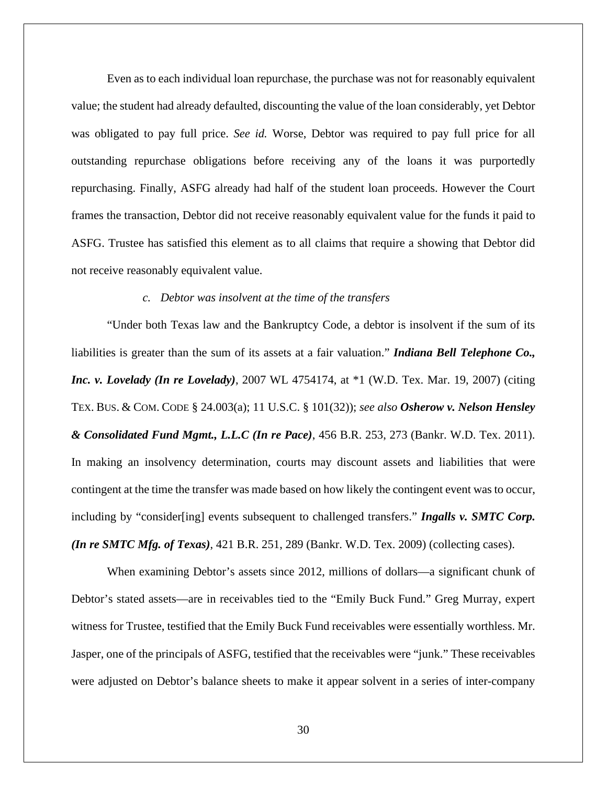Even as to each individual loan repurchase, the purchase was not for reasonably equivalent value; the student had already defaulted, discounting the value of the loan considerably, yet Debtor was obligated to pay full price. *See id.* Worse, Debtor was required to pay full price for all outstanding repurchase obligations before receiving any of the loans it was purportedly repurchasing. Finally, ASFG already had half of the student loan proceeds. However the Court frames the transaction, Debtor did not receive reasonably equivalent value for the funds it paid to ASFG. Trustee has satisfied this element as to all claims that require a showing that Debtor did not receive reasonably equivalent value.

#### *c. Debtor was insolvent at the time of the transfers*

"Under both Texas law and the Bankruptcy Code, a debtor is insolvent if the sum of its liabilities is greater than the sum of its assets at a fair valuation." *Indiana Bell Telephone Co., Inc. v. Lovelady (In re Lovelady)*, 2007 WL 4754174, at \*1 (W.D. Tex. Mar. 19, 2007) (citing TEX. BUS. & COM. CODE § 24.003(a); 11 U.S.C. § 101(32)); *see also Osherow v. Nelson Hensley & Consolidated Fund Mgmt., L.L.C (In re Pace)*, 456 B.R. 253, 273 (Bankr. W.D. Tex. 2011). In making an insolvency determination, courts may discount assets and liabilities that were contingent at the time the transfer was made based on how likely the contingent event was to occur, including by "consider[ing] events subsequent to challenged transfers." *Ingalls v. SMTC Corp. (In re SMTC Mfg. of Texas)*, 421 B.R. 251, 289 (Bankr. W.D. Tex. 2009) (collecting cases).

When examining Debtor's assets since 2012, millions of dollars—a significant chunk of Debtor's stated assets—are in receivables tied to the "Emily Buck Fund." Greg Murray, expert witness for Trustee, testified that the Emily Buck Fund receivables were essentially worthless. Mr. Jasper, one of the principals of ASFG, testified that the receivables were "junk." These receivables were adjusted on Debtor's balance sheets to make it appear solvent in a series of inter-company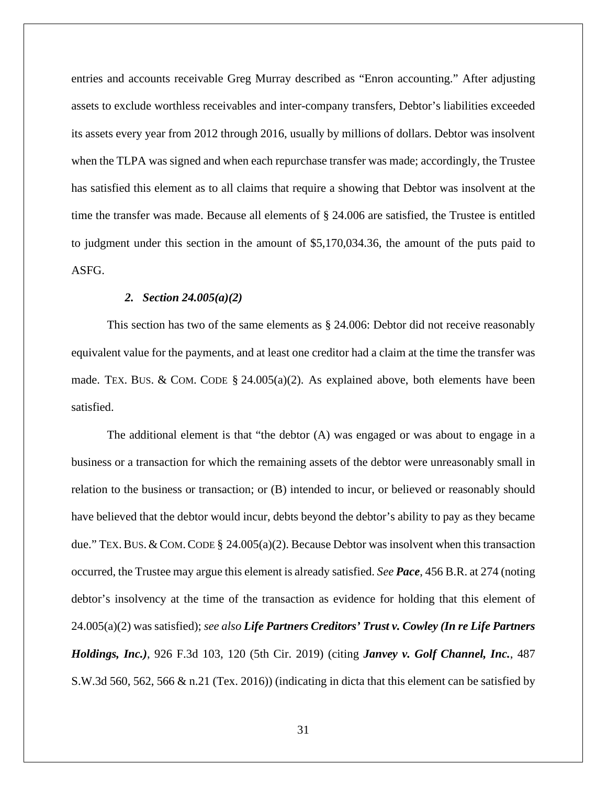entries and accounts receivable Greg Murray described as "Enron accounting." After adjusting assets to exclude worthless receivables and inter-company transfers, Debtor's liabilities exceeded its assets every year from 2012 through 2016, usually by millions of dollars. Debtor was insolvent when the TLPA was signed and when each repurchase transfer was made; accordingly, the Trustee has satisfied this element as to all claims that require a showing that Debtor was insolvent at the time the transfer was made. Because all elements of § 24.006 are satisfied, the Trustee is entitled to judgment under this section in the amount of \$5,170,034.36, the amount of the puts paid to ASFG.

### *2. Section 24.005(a)(2)*

This section has two of the same elements as § 24.006: Debtor did not receive reasonably equivalent value for the payments, and at least one creditor had a claim at the time the transfer was made. TEX. BUS. & COM. CODE  $\S$  24.005(a)(2). As explained above, both elements have been satisfied.

The additional element is that "the debtor (A) was engaged or was about to engage in a business or a transaction for which the remaining assets of the debtor were unreasonably small in relation to the business or transaction; or (B) intended to incur, or believed or reasonably should have believed that the debtor would incur, debts beyond the debtor's ability to pay as they became due." TEX. BUS. & COM. CODE § 24.005(a)(2). Because Debtor was insolvent when this transaction occurred, the Trustee may argue this element is already satisfied. *See Pace*, 456 B.R. at 274 (noting debtor's insolvency at the time of the transaction as evidence for holding that this element of 24.005(a)(2) was satisfied); *see also Life Partners Creditors' Trust v. Cowley (In re Life Partners Holdings, Inc.)*, 926 F.3d 103, 120 (5th Cir. 2019) (citing *Janvey v. Golf Channel, Inc.*, 487 S.W.3d 560, 562, 566 & n.21 (Tex. 2016)) (indicating in dicta that this element can be satisfied by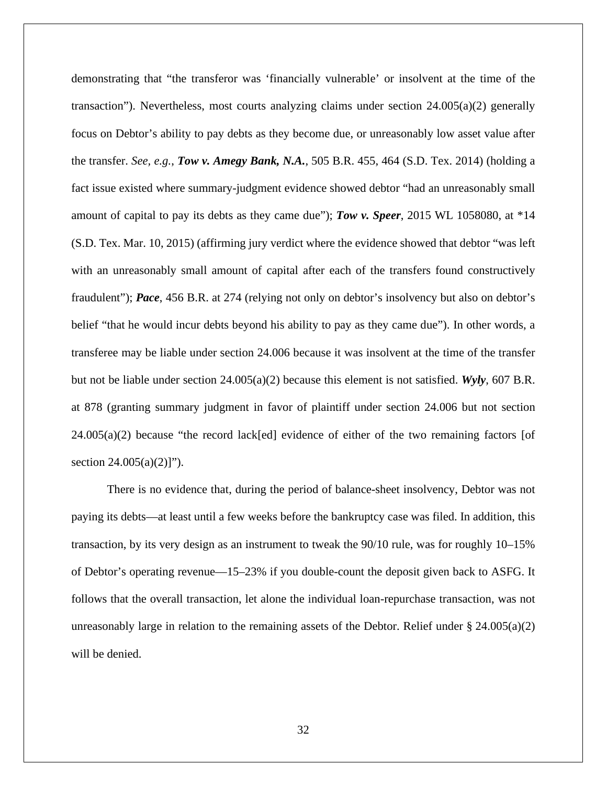demonstrating that "the transferor was 'financially vulnerable' or insolvent at the time of the transaction"). Nevertheless, most courts analyzing claims under section  $24.005(a)(2)$  generally focus on Debtor's ability to pay debts as they become due, or unreasonably low asset value after the transfer. *See, e.g.*, *Tow v. Amegy Bank, N.A.*, 505 B.R. 455, 464 (S.D. Tex. 2014) (holding a fact issue existed where summary-judgment evidence showed debtor "had an unreasonably small amount of capital to pay its debts as they came due"); *Tow v. Speer*, 2015 WL 1058080, at \*14 (S.D. Tex. Mar. 10, 2015) (affirming jury verdict where the evidence showed that debtor "was left with an unreasonably small amount of capital after each of the transfers found constructively fraudulent"); *Pace*, 456 B.R. at 274 (relying not only on debtor's insolvency but also on debtor's belief "that he would incur debts beyond his ability to pay as they came due"). In other words, a transferee may be liable under section 24.006 because it was insolvent at the time of the transfer but not be liable under section 24.005(a)(2) because this element is not satisfied. *Wyly*, 607 B.R. at 878 (granting summary judgment in favor of plaintiff under section 24.006 but not section  $24.005(a)(2)$  because "the record lack[ed] evidence of either of the two remaining factors [of section  $24.005(a)(2)$ ]").

There is no evidence that, during the period of balance-sheet insolvency, Debtor was not paying its debts—at least until a few weeks before the bankruptcy case was filed. In addition, this transaction, by its very design as an instrument to tweak the 90/10 rule, was for roughly 10–15% of Debtor's operating revenue—15–23% if you double-count the deposit given back to ASFG. It follows that the overall transaction, let alone the individual loan-repurchase transaction, was not unreasonably large in relation to the remaining assets of the Debtor. Relief under  $\S 24.005(a)(2)$ will be denied.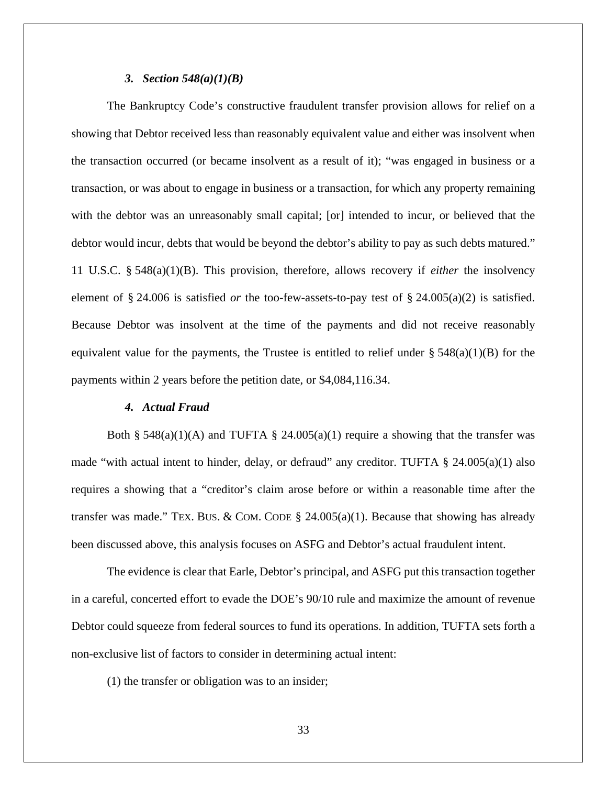### *3. Section 548(a)(1)(B)*

The Bankruptcy Code's constructive fraudulent transfer provision allows for relief on a showing that Debtor received less than reasonably equivalent value and either was insolvent when the transaction occurred (or became insolvent as a result of it); "was engaged in business or a transaction, or was about to engage in business or a transaction, for which any property remaining with the debtor was an unreasonably small capital; [or] intended to incur, or believed that the debtor would incur, debts that would be beyond the debtor's ability to pay as such debts matured." 11 U.S.C. § 548(a)(1)(B). This provision, therefore, allows recovery if *either* the insolvency element of § 24.006 is satisfied *or* the too-few-assets-to-pay test of § 24.005(a)(2) is satisfied. Because Debtor was insolvent at the time of the payments and did not receive reasonably equivalent value for the payments, the Trustee is entitled to relief under  $\S$  548(a)(1)(B) for the payments within 2 years before the petition date, or \$4,084,116.34.

### *4. Actual Fraud*

Both § 548(a)(1)(A) and TUFTA § 24.005(a)(1) require a showing that the transfer was made "with actual intent to hinder, delay, or defraud" any creditor. TUFTA  $\S$  24.005(a)(1) also requires a showing that a "creditor's claim arose before or within a reasonable time after the transfer was made." TEX. BUS. & COM. CODE  $\S$  24.005(a)(1). Because that showing has already been discussed above, this analysis focuses on ASFG and Debtor's actual fraudulent intent.

The evidence is clear that Earle, Debtor's principal, and ASFG put this transaction together in a careful, concerted effort to evade the DOE's 90/10 rule and maximize the amount of revenue Debtor could squeeze from federal sources to fund its operations. In addition, TUFTA sets forth a non-exclusive list of factors to consider in determining actual intent:

(1) the transfer or obligation was to an insider;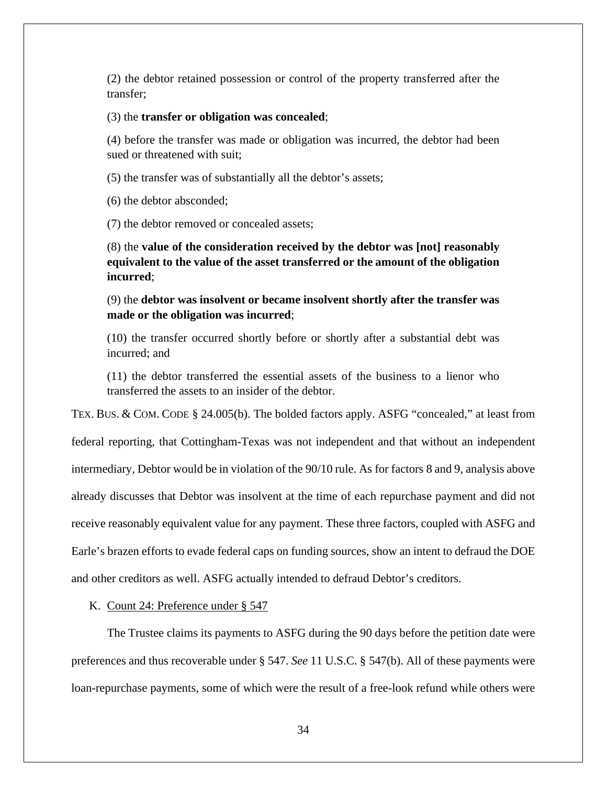(2) the debtor retained possession or control of the property transferred after the transfer;

(3) the **transfer or obligation was concealed**;

(4) before the transfer was made or obligation was incurred, the debtor had been sued or threatened with suit;

(5) the transfer was of substantially all the debtor's assets;

(6) the debtor absconded;

(7) the debtor removed or concealed assets;

(8) the **value of the consideration received by the debtor was [not] reasonably equivalent to the value of the asset transferred or the amount of the obligation incurred**;

(9) the **debtor was insolvent or became insolvent shortly after the transfer was made or the obligation was incurred**;

(10) the transfer occurred shortly before or shortly after a substantial debt was incurred; and

(11) the debtor transferred the essential assets of the business to a lienor who transferred the assets to an insider of the debtor.

TEX. BUS. & COM. CODE § 24.005(b). The bolded factors apply. ASFG "concealed," at least from federal reporting, that Cottingham-Texas was not independent and that without an independent intermediary, Debtor would be in violation of the 90/10 rule. As for factors 8 and 9, analysis above already discusses that Debtor was insolvent at the time of each repurchase payment and did not receive reasonably equivalent value for any payment. These three factors, coupled with ASFG and Earle's brazen efforts to evade federal caps on funding sources, show an intent to defraud the DOE and other creditors as well. ASFG actually intended to defraud Debtor's creditors.

K. Count 24: Preference under § 547

The Trustee claims its payments to ASFG during the 90 days before the petition date were preferences and thus recoverable under § 547. *See* 11 U.S.C. § 547(b). All of these payments were loan-repurchase payments, some of which were the result of a free-look refund while others were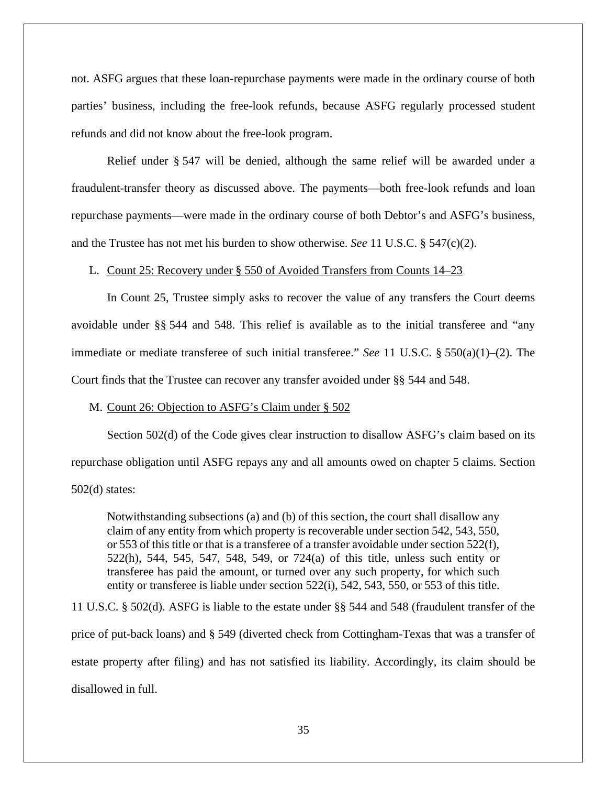not. ASFG argues that these loan-repurchase payments were made in the ordinary course of both parties' business, including the free-look refunds, because ASFG regularly processed student refunds and did not know about the free-look program.

Relief under § 547 will be denied, although the same relief will be awarded under a fraudulent-transfer theory as discussed above. The payments—both free-look refunds and loan repurchase payments—were made in the ordinary course of both Debtor's and ASFG's business, and the Trustee has not met his burden to show otherwise. *See* 11 U.S.C. § 547(c)(2).

#### L. Count 25: Recovery under § 550 of Avoided Transfers from Counts 14–23

In Count 25, Trustee simply asks to recover the value of any transfers the Court deems avoidable under §§ 544 and 548. This relief is available as to the initial transferee and "any immediate or mediate transferee of such initial transferee." *See* 11 U.S.C. § 550(a)(1)–(2). The Court finds that the Trustee can recover any transfer avoided under §§ 544 and 548.

# M. Count 26: Objection to ASFG's Claim under § 502

Section 502(d) of the Code gives clear instruction to disallow ASFG's claim based on its repurchase obligation until ASFG repays any and all amounts owed on chapter 5 claims. Section  $502(d)$  states:

Notwithstanding subsections (a) and (b) of this section, the court shall disallow any claim of any entity from which property is recoverable under section 542, 543, 550, or 553 of this title or that is a transferee of a transfer avoidable under section 522(f), 522(h), 544, 545, 547, 548, 549, or 724(a) of this title, unless such entity or transferee has paid the amount, or turned over any such property, for which such entity or transferee is liable under section 522(i), 542, 543, 550, or 553 of this title.

11 U.S.C. § 502(d). ASFG is liable to the estate under §§ 544 and 548 (fraudulent transfer of the price of put-back loans) and § 549 (diverted check from Cottingham-Texas that was a transfer of estate property after filing) and has not satisfied its liability. Accordingly, its claim should be disallowed in full.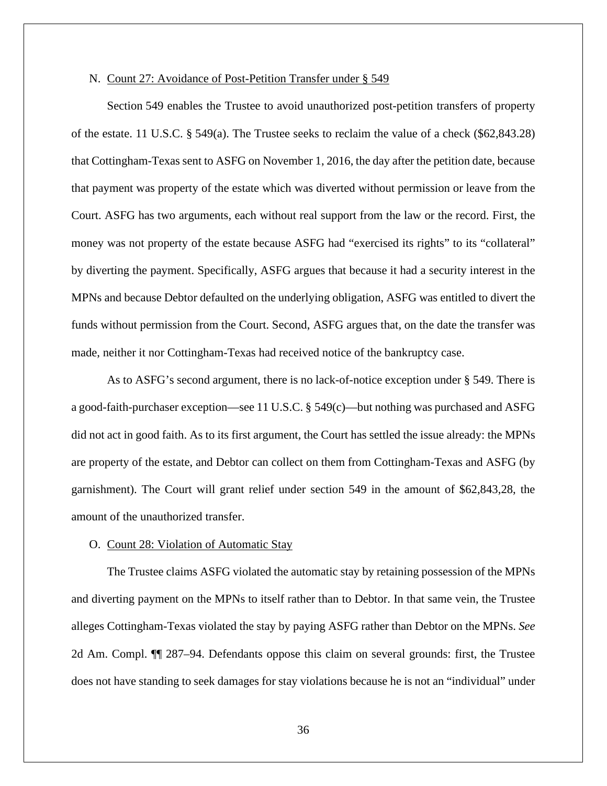### N. Count 27: Avoidance of Post-Petition Transfer under § 549

Section 549 enables the Trustee to avoid unauthorized post-petition transfers of property of the estate. 11 U.S.C. § 549(a). The Trustee seeks to reclaim the value of a check (\$62,843.28) that Cottingham-Texas sent to ASFG on November 1, 2016, the day after the petition date, because that payment was property of the estate which was diverted without permission or leave from the Court. ASFG has two arguments, each without real support from the law or the record. First, the money was not property of the estate because ASFG had "exercised its rights" to its "collateral" by diverting the payment. Specifically, ASFG argues that because it had a security interest in the MPNs and because Debtor defaulted on the underlying obligation, ASFG was entitled to divert the funds without permission from the Court. Second, ASFG argues that, on the date the transfer was made, neither it nor Cottingham-Texas had received notice of the bankruptcy case.

As to ASFG's second argument, there is no lack-of-notice exception under § 549. There is a good-faith-purchaser exception—see 11 U.S.C. § 549(c)—but nothing was purchased and ASFG did not act in good faith. As to its first argument, the Court has settled the issue already: the MPNs are property of the estate, and Debtor can collect on them from Cottingham-Texas and ASFG (by garnishment). The Court will grant relief under section 549 in the amount of \$62,843,28, the amount of the unauthorized transfer.

#### O. Count 28: Violation of Automatic Stay

The Trustee claims ASFG violated the automatic stay by retaining possession of the MPNs and diverting payment on the MPNs to itself rather than to Debtor. In that same vein, the Trustee alleges Cottingham-Texas violated the stay by paying ASFG rather than Debtor on the MPNs. *See* 2d Am. Compl. ¶¶ 287–94. Defendants oppose this claim on several grounds: first, the Trustee does not have standing to seek damages for stay violations because he is not an "individual" under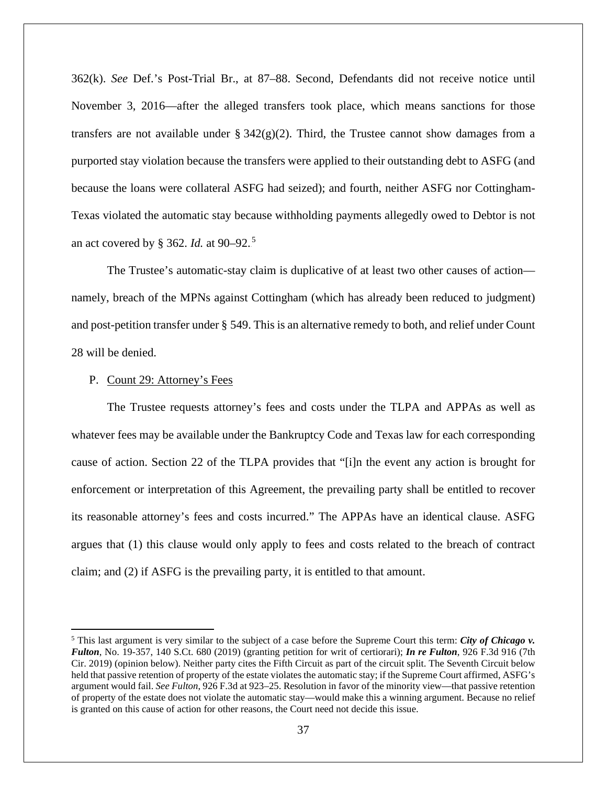362(k). *See* Def.'s Post-Trial Br., at 87–88. Second, Defendants did not receive notice until November 3, 2016—after the alleged transfers took place, which means sanctions for those transfers are not available under  $\S 342(g)(2)$ . Third, the Trustee cannot show damages from a purported stay violation because the transfers were applied to their outstanding debt to ASFG (and because the loans were collateral ASFG had seized); and fourth, neither ASFG nor Cottingham-Texas violated the automatic stay because withholding payments allegedly owed to Debtor is not an act covered by § 362. *Id.* at 90–92.<sup>5</sup>

The Trustee's automatic-stay claim is duplicative of at least two other causes of action namely, breach of the MPNs against Cottingham (which has already been reduced to judgment) and post-petition transfer under § 549. This is an alternative remedy to both, and relief under Count 28 will be denied.

#### P. Count 29: Attorney's Fees

The Trustee requests attorney's fees and costs under the TLPA and APPAs as well as whatever fees may be available under the Bankruptcy Code and Texas law for each corresponding cause of action. Section 22 of the TLPA provides that "[i]n the event any action is brought for enforcement or interpretation of this Agreement, the prevailing party shall be entitled to recover its reasonable attorney's fees and costs incurred." The APPAs have an identical clause. ASFG argues that (1) this clause would only apply to fees and costs related to the breach of contract claim; and (2) if ASFG is the prevailing party, it is entitled to that amount.

<sup>5</sup> This last argument is very similar to the subject of a case before the Supreme Court this term: *City of Chicago v. Fulton*, No. 19-357, 140 S.Ct. 680 (2019) (granting petition for writ of certiorari); *In re Fulton*, 926 F.3d 916 (7th Cir. 2019) (opinion below). Neither party cites the Fifth Circuit as part of the circuit split. The Seventh Circuit below held that passive retention of property of the estate violates the automatic stay; if the Supreme Court affirmed, ASFG's argument would fail. *See Fulton*, 926 F.3d at 923–25. Resolution in favor of the minority view—that passive retention of property of the estate does not violate the automatic stay—would make this a winning argument. Because no relief is granted on this cause of action for other reasons, the Court need not decide this issue.